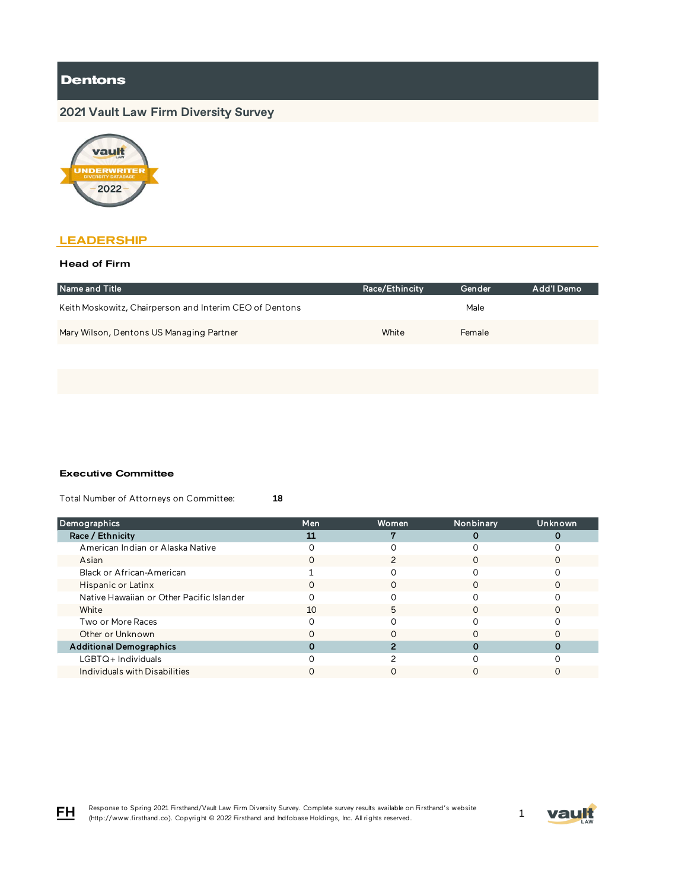# **2021 Vault Law Firm Diversity Survey**



### **LEADERSHIP**

#### Head of Firm

| Race/Ethincity | Gender | Add'l Demo |
|----------------|--------|------------|
|                | Male   |            |
| White          | Female |            |
|                |        |            |

#### Executive Committee

Total Number of Attorneys on Committee: 18

| Demographics                              | Men | Women | Nonbinary | <b>Unknown</b> |
|-------------------------------------------|-----|-------|-----------|----------------|
| Race / Ethnicity                          | 11  |       |           |                |
| American Indian or Alaska Native          |     |       |           |                |
| Asian                                     |     |       |           |                |
| Black or African-American                 |     |       |           |                |
| Hispanic or Latinx                        |     |       |           |                |
| Native Hawaiian or Other Pacific Islander |     |       |           |                |
| White                                     | 10  | h     |           |                |
| Two or More Races                         |     |       |           |                |
| Other or Unknown                          |     |       |           |                |
| <b>Additional Demographics</b>            |     |       |           |                |
| $LGBTQ+$ Individuals                      |     |       |           |                |
| Individuals with Disabilities             |     |       |           |                |

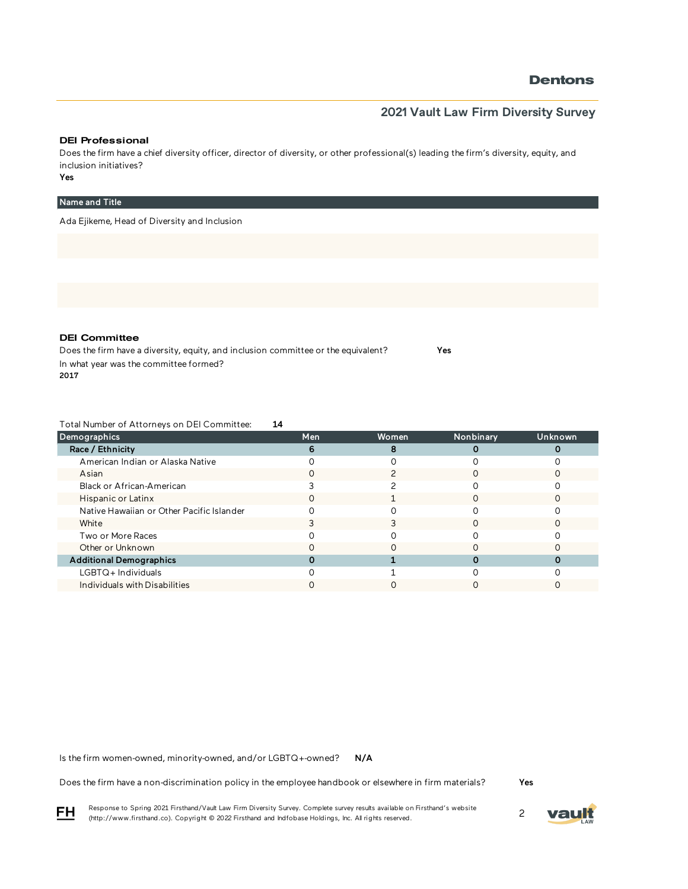### **2021 Vault Law Firm Diversity Survey**

#### DEI Professional

Does the firm have a chief diversity officer, director of diversity, or other professional(s) leading the firm's diversity, equity, and inclusion initiatives?

### Yes

#### Name and Title

Ada Ejikeme, Head of Diversity and Inclusion

DEI Committee

Does the firm have a diversity, equity, and inclusion committee or the equivalent? Yes In what year was the committee formed? 2017

Total Number of Attorneys on DEI Committee: 14

| Demographics                              | Men | Women | Nonbinary | Unknown |
|-------------------------------------------|-----|-------|-----------|---------|
| Race / Ethnicity                          | 6   |       |           |         |
| American Indian or Alaska Native          |     |       |           |         |
| Asian                                     |     |       |           |         |
| Black or African-American                 |     |       |           |         |
| Hispanic or Latinx                        |     |       |           |         |
| Native Hawaiian or Other Pacific Islander |     |       |           |         |
| White                                     |     |       |           |         |
| Two or More Races                         |     |       |           |         |
| Other or Unknown                          |     |       |           |         |
| <b>Additional Demographics</b>            |     |       |           |         |
| LGBTQ+Individuals                         |     |       |           |         |
| Individuals with Disabilities             |     |       |           |         |

N/A Is the firm women-owned, minority-owned, and/or LGBTQ+-owned?

Does the firm have a non-discrimination policy in the employee handbook or elsewhere in firm materials?

Yes

Response to Spring 2021 Firsthand/Vault Law Firm Diversity Survey. Complete survey results available on Firsthand's website Response to Spring 2021 Firsthand/vault Law Firm Diversity Survey. Complete survey results available on Firsthand s website<br>(http://www.firsthand.co). Copyright © 2022 Firsthand and Indfobase Holdings, Inc. All rights rese



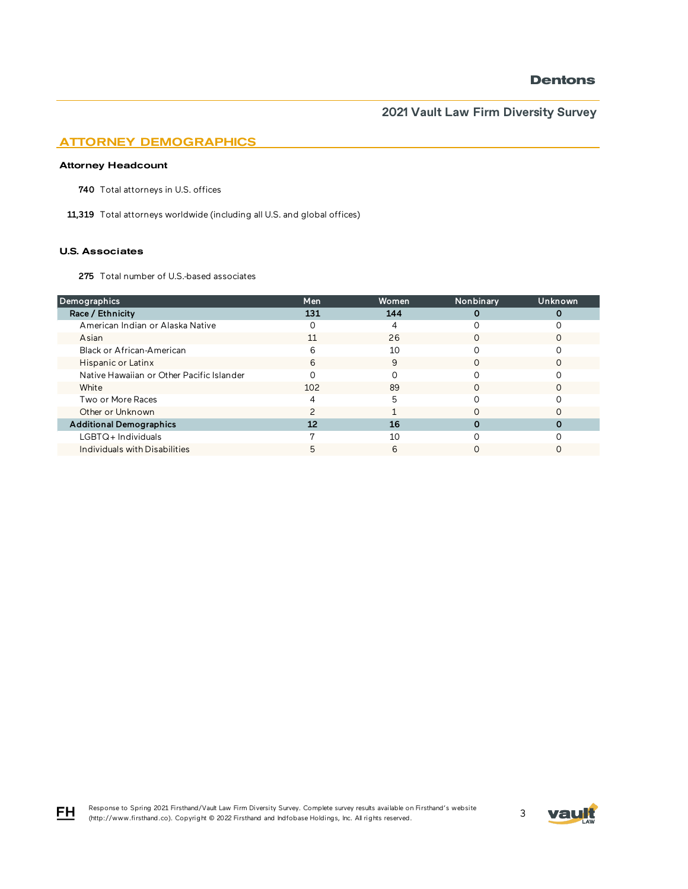### ATTORNEY DEMOGRAPHICS

#### Attorney Headcount

740 Total attorneys in U.S. offices

11,319 Total attorneys worldwide (including all U.S. and global offices)

#### U.S. Associates

FH

275 Total number of U.S.-based associates

| Demographics                              | Men | Women | Nonbinary | Unknown |
|-------------------------------------------|-----|-------|-----------|---------|
| Race / Ethnicity                          | 131 | 144   |           |         |
| American Indian or Alaska Native          |     | 4     |           |         |
| Asian                                     | 11  | 26    |           |         |
| Black or African-American                 | 6   | 10    |           |         |
| Hispanic or Latinx                        | 6   | 9     | O         |         |
| Native Hawaiian or Other Pacific Islander |     |       |           |         |
| White                                     | 102 | 89    |           |         |
| Two or More Races                         |     | 5     |           |         |
| Other or Unknown                          |     |       |           |         |
| <b>Additional Demographics</b>            | 12  | 16    |           |         |
| LGBTQ+Individuals                         |     | 10    |           |         |
| Individuals with Disabilities             |     | 6     |           |         |

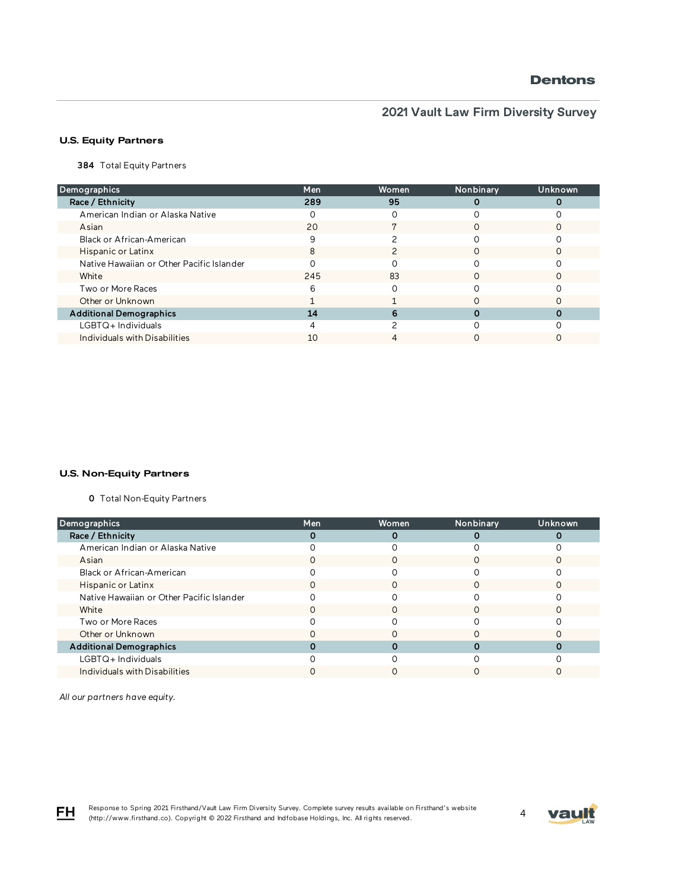# **2021 Vault Law Firm Diversity Survey**

### U.S. Equity Partners

384 Total Equity Partners

| Demographics                              | Men | Women | Nonbinary | Unknown |
|-------------------------------------------|-----|-------|-----------|---------|
| Race / Ethnicity                          | 289 | 95    |           |         |
| American Indian or Alaska Native          |     |       |           |         |
| Asian                                     | 20  |       |           |         |
| Black or African-American                 | 9   |       |           |         |
| Hispanic or Latinx                        | 8   |       | $\Omega$  |         |
| Native Hawaiian or Other Pacific Islander |     |       |           |         |
| White                                     | 245 | 83    |           |         |
| Two or More Races                         | 6   |       |           |         |
| Other or Unknown                          |     |       |           |         |
| <b>Additional Demographics</b>            | 14  | 6     |           |         |
| $LGBTQ+$ Individuals                      |     |       |           |         |
| Individuals with Disabilities             | 10  |       |           |         |

#### U.S. Non-Equity Partners

0 Total Non-Equity Partners

| Demographics                              | <b>Men</b> | Women | Nonbinary | Unknown |
|-------------------------------------------|------------|-------|-----------|---------|
| Race / Ethnicity                          |            |       |           |         |
| American Indian or Alaska Native          |            |       |           |         |
| Asian                                     |            |       |           |         |
| Black or African-American                 |            |       |           |         |
| Hispanic or Latinx                        |            |       |           |         |
| Native Hawaiian or Other Pacific Islander |            |       |           |         |
| White                                     |            | ∩     | ∩         |         |
| Two or More Races                         |            |       |           |         |
| Other or Unknown                          |            |       |           |         |
| <b>Additional Demographics</b>            |            |       |           |         |
| LGBTQ+Individuals                         |            |       |           |         |
| Individuals with Disabilities             |            |       |           |         |

*All our partners have equity.* 

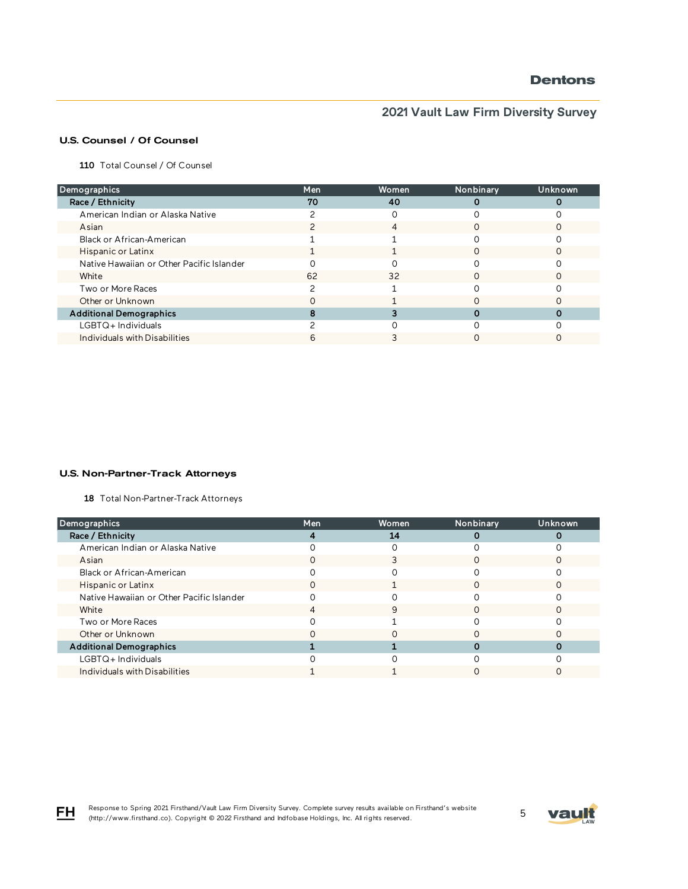# **2021 Vault Law Firm Diversity Survey**

### U.S. Counsel / Of Counsel

110 Total Counsel / Of Counsel

| Demographics                              | Men | Women | Nonbinary | Unknown |
|-------------------------------------------|-----|-------|-----------|---------|
| Race / Ethnicity                          | 70  | 40    |           |         |
| American Indian or Alaska Native          |     |       |           |         |
| Asian                                     |     | 4     |           |         |
| Black or African-American                 |     |       |           |         |
| Hispanic or Latinx                        |     |       |           |         |
| Native Hawaiian or Other Pacific Islander |     |       |           |         |
| White                                     | 62  | 32    |           |         |
| Two or More Races                         |     |       |           |         |
| Other or Unknown                          |     |       |           |         |
| <b>Additional Demographics</b>            |     |       |           |         |
| LGBTQ+Individuals                         |     |       |           |         |
| Individuals with Disabilities             |     |       |           |         |

#### U.S. Non-Partner-Track Attorneys

18 Total Non-Partner-Track Attorneys

| Demographics                              | <b>Men</b> | Women | Nonbinary | Unknown |
|-------------------------------------------|------------|-------|-----------|---------|
| Race / Ethnicity                          |            | 14    |           |         |
| American Indian or Alaska Native          |            |       |           |         |
| Asian                                     |            |       |           |         |
| Black or African-American                 |            |       |           |         |
| Hispanic or Latinx                        |            |       |           |         |
| Native Hawaiian or Other Pacific Islander |            |       |           |         |
| White                                     |            | 9     | ∩         |         |
| Two or More Races                         |            |       |           |         |
| Other or Unknown                          |            |       |           |         |
| <b>Additional Demographics</b>            |            |       |           |         |
| $LGBTQ+$ Individuals                      |            |       |           |         |
| Individuals with Disabilities             |            |       |           |         |

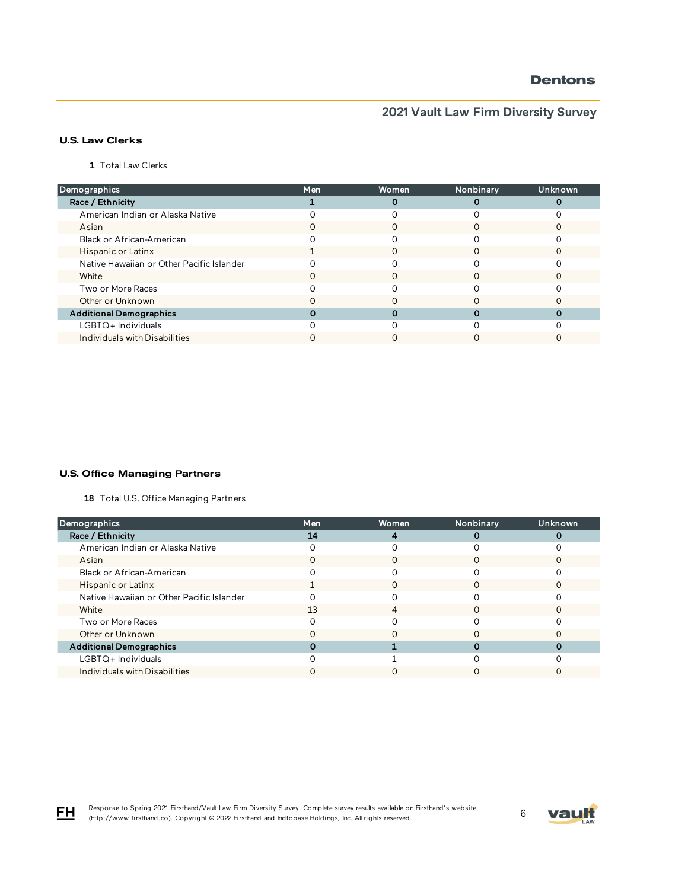# **2021 Vault Law Firm Diversity Survey**

### U.S. Law Clerks

1 Total Law Clerks

| Demographics                              | Men | Women | Nonbinary | Unknown |
|-------------------------------------------|-----|-------|-----------|---------|
| Race / Ethnicity                          |     | 0     |           |         |
| American Indian or Alaska Native          |     |       |           |         |
| Asian                                     |     |       |           |         |
| Black or African-American                 |     |       |           |         |
| Hispanic or Latinx                        |     | O     | O         |         |
| Native Hawaiian or Other Pacific Islander |     |       |           |         |
| White                                     |     |       |           |         |
| Two or More Races                         |     |       |           |         |
| Other or Unknown                          |     |       |           |         |
| <b>Additional Demographics</b>            |     |       |           |         |
| $LGBTQ+$ Individuals                      |     |       |           |         |
| Individuals with Disabilities             |     |       |           |         |

#### U.S. Office Managing Partners

18 Total U.S. Office Managing Partners

| Demographics                              | Men | Women | Nonbinary | Unknown |
|-------------------------------------------|-----|-------|-----------|---------|
| Race / Ethnicity                          | 14  |       |           |         |
| American Indian or Alaska Native          |     |       |           |         |
| Asian                                     |     |       |           |         |
| Black or African-American                 |     |       |           |         |
| Hispanic or Latinx                        |     |       |           |         |
| Native Hawaiian or Other Pacific Islander |     |       |           |         |
| White                                     | 13  | 4     | ∩         |         |
| Two or More Races                         |     |       |           |         |
| Other or Unknown                          |     |       |           |         |
| <b>Additional Demographics</b>            |     |       |           |         |
| LGBTQ+Individuals                         |     |       |           |         |
| Individuals with Disabilities             |     |       |           |         |

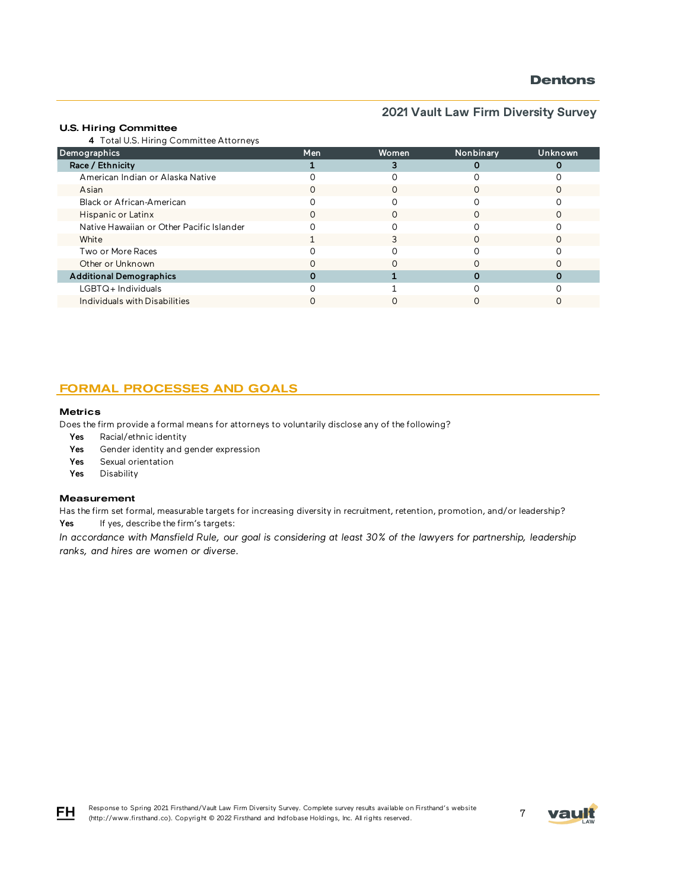### **2021 Vault Law Firm Diversity Survey**

#### U.S. Hiring Committee

4 Total U.S. Hiring Committee Attorneys

| Demographics                              | <b>Men</b>       | Women | Nonbinary | Unknown |
|-------------------------------------------|------------------|-------|-----------|---------|
| Race / Ethnicity                          |                  |       |           |         |
| American Indian or Alaska Native          |                  |       |           |         |
| Asian                                     | O                |       |           |         |
| Black or African-American                 |                  |       |           |         |
| Hispanic or Latinx                        | $\left( \right)$ |       |           |         |
| Native Hawaiian or Other Pacific Islander |                  |       |           |         |
| White                                     |                  |       |           |         |
| Two or More Races                         |                  |       |           |         |
| Other or Unknown                          |                  |       |           |         |
| <b>Additional Demographics</b>            |                  |       |           |         |
| LGBTQ+Individuals                         |                  |       |           |         |
| Individuals with Disabilities             |                  |       |           |         |

### FORMAL PROCESSES AND GOALS

#### **Metrics**

Does the firm provide a formal means for attorneys to voluntarily disclose any of the following?

- Yes Racial/ethnic identity
- Yes Gender identity and gender expression
- Yes Sexual orientation
- Yes Disability

#### Measurement

Has the firm set formal, measurable targets for increasing diversity in recruitment, retention, promotion, and/or leadership? Yes If yes, describe the firm's targets:

*In accordance with Mansfield Rule, our goal is considering at least 30% of the lawyers for partnership, leadership ranks, and hires are women or diverse.*



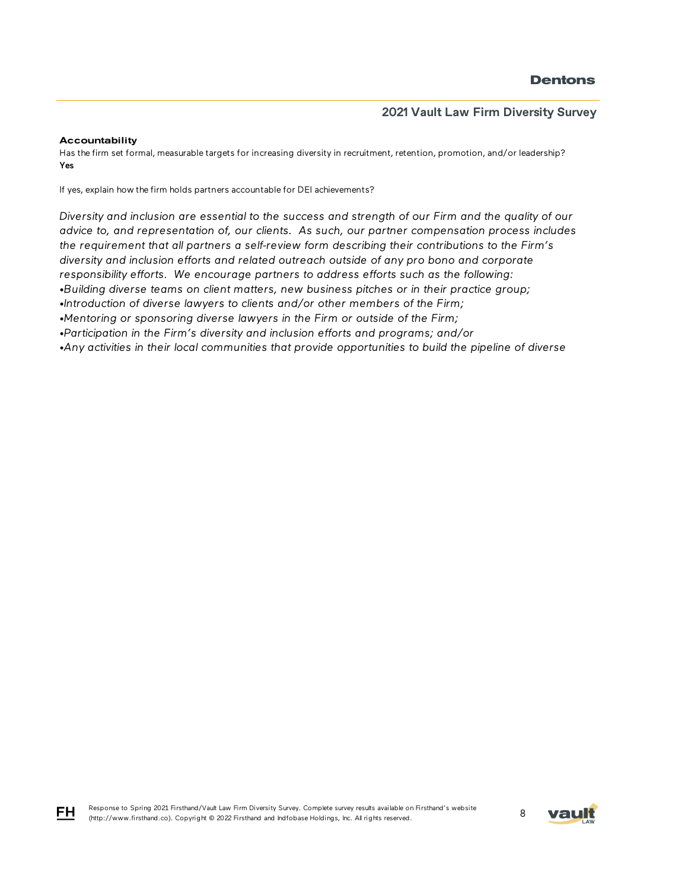#### **Accountability**

FH

Has the firm set formal, measurable targets for increasing diversity in recruitment, retention, promotion, and/or leadership? Yes

If yes, explain how the firm holds partners accountable for DEI achievements?

*Diversity and inclusion are essential to the success and strength of our Firm and the quality of our advice to, and representation of, our clients. As such, our partner compensation process includes the requirement that all partners a self-review form describing their contributions to the Firm's diversity and inclusion efforts and related outreach outside of any pro bono and corporate responsibility efforts. We encourage partners to address efforts such as the following: •Building diverse teams on client matters, new business pitches or in their practice group;*

*•Introduction of diverse lawyers to clients and/or other members of the Firm;*

*•Mentoring or sponsoring diverse lawyers in the Firm or outside of the Firm;*

*•Participation in the Firm's diversity and inclusion efforts and programs; and/or*

*•Any activities in their local communities that provide opportunities to build the pipeline of diverse* 

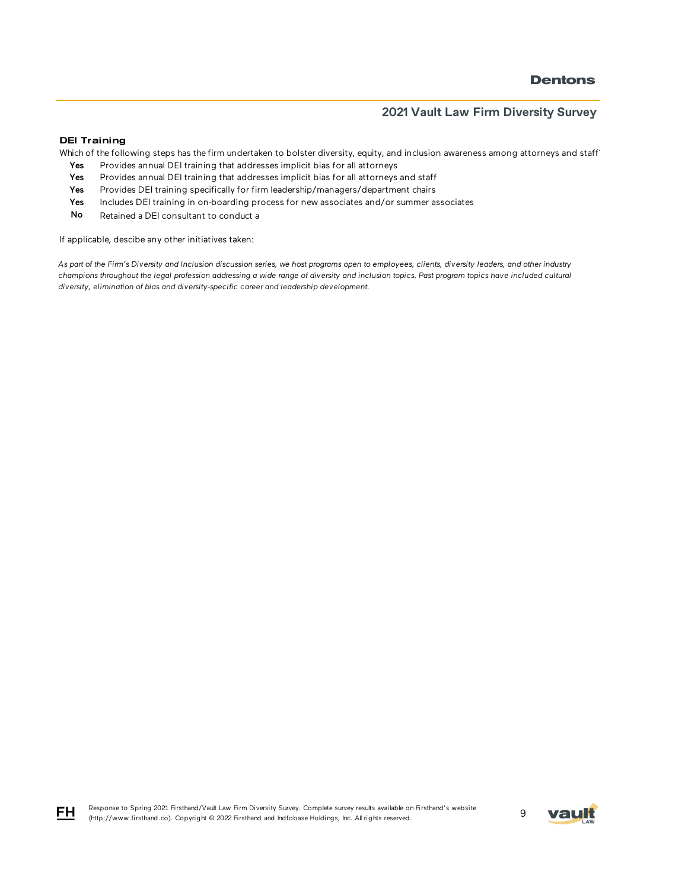#### DEI Training

Which of the following steps has the firm undertaken to bolster diversity, equity, and inclusion awareness among attorneys and staff

- Yes Provides annual DEI training that addresses implicit bias for all attorneys
- Yes Provides annual DEI training that addresses implicit bias for all attorneys and staff
- Yes Provides DEI training specifically for firm leadership/managers/department chairs
- Yes Includes DEI training in on-boarding process for new associates and/or summer associates
- No Retained a DEI consultant to conduct a

If applicable, descibe any other initiatives taken:

*As part of the Firm's Diversity and Inclusion discussion series, we host programs open to employees, clients, diversity leaders, and other industry champions throughout the legal profession addressing a wide range of diversity and inclusion topics. Past program topics have included cultural diversity, elimination of bias and diversity-specific career and leadership development.* 



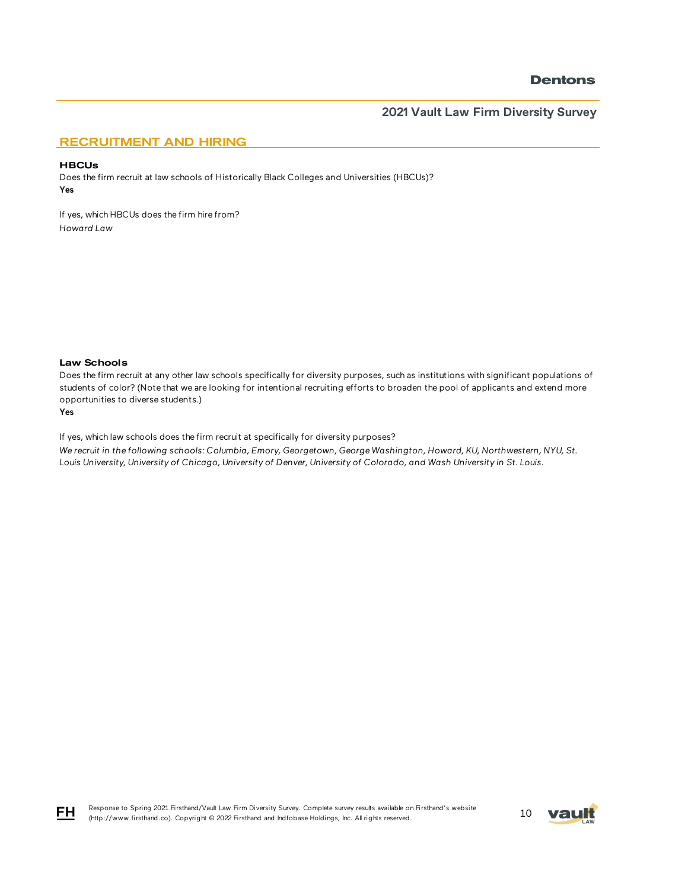### **2021 Vault Law Firm Diversity Survey**

### RECRUITMENT AND HIRING

#### **HBCUs**

Does the firm recruit at law schools of Historically Black Colleges and Universities (HBCUs)? Yes

If yes, which HBCUs does the firm hire from? *Howard Law* 

#### Law Schools

Does the firm recruit at any other law schools specifically for diversity purposes, such as institutions with significant populations of students of color? (Note that we are looking for intentional recruiting efforts to broaden the pool of applicants and extend more opportunities to diverse students.)

#### Yes

If yes, which law schools does the firm recruit at specifically for diversity purposes? *We recruit in the following schools: Columbia, Emory, Georgetown, George Washington, Howard, KU, Northwestern, NYU, St. Louis University, University of Chicago, University of Denver, University of Colorado, and Wash University in St. Louis.* 



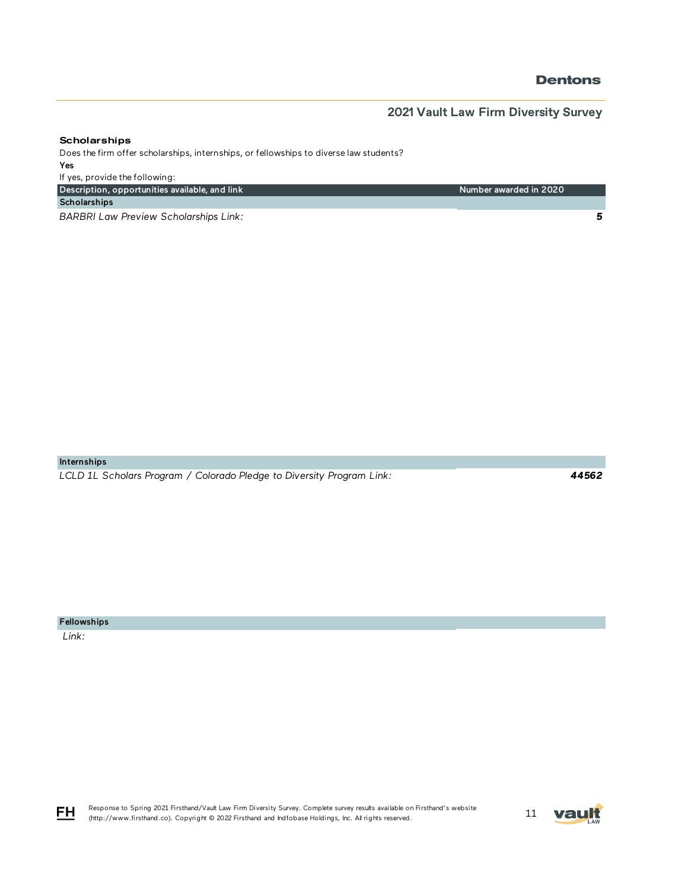*5*

# **2021 Vault Law Firm Diversity Survey**

Number awarded in 2020

#### **Scholarships**

Does the firm offer scholarships, internships, or fellowships to diverse law students? Yes

If yes, provide the following: Description, opportunities available, and link

**Scholarships** 

*BARBRI Law Preview Scholarships Link:* 

Internships

*LCLD 1L Scholars Program / Colorado Pledge to Diversity Program Link:* 

*44562*

Fellowships

 *Link:* 

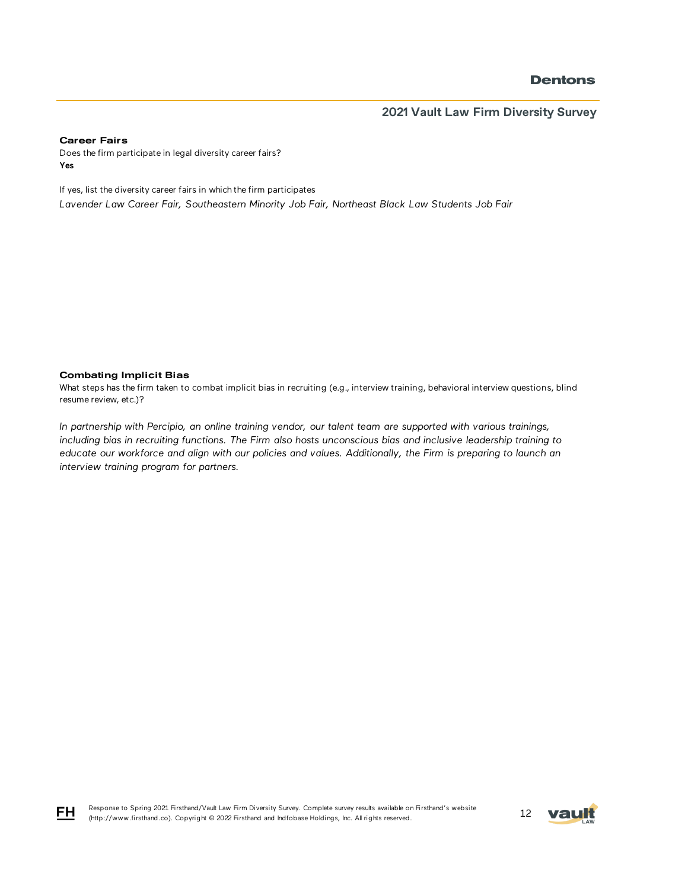### **2021 Vault Law Firm Diversity Survey**

#### Career Fairs

Does the firm participate in legal diversity career fairs? Yes

If yes, list the diversity career fairs in which the firm participates *Lavender Law Career Fair, Southeastern Minority Job Fair, Northeast Black Law Students Job Fair*

#### Combating Implicit Bias

What steps has the firm taken to combat implicit bias in recruiting (e.g., interview training, behavioral interview questions, blind resume review, etc.)?

*In partnership with Percipio, an online training vendor, our talent team are supported with various trainings, including bias in recruiting functions. The Firm also hosts unconscious bias and inclusive leadership training to educate our workforce and align with our policies and values. Additionally, the Firm is preparing to launch an interview training program for partners.* 

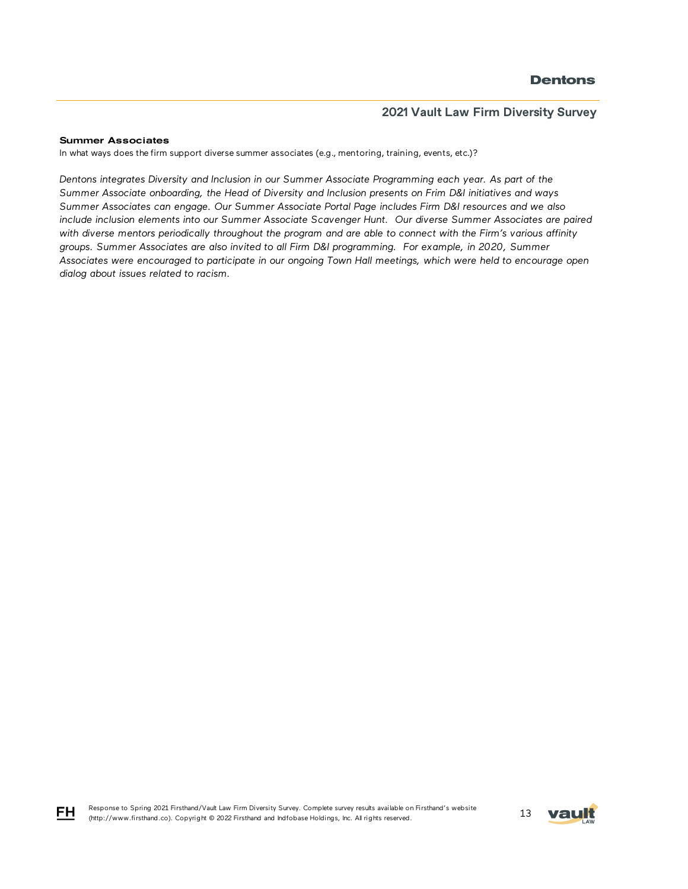#### Summer Associates

FH

In what ways does the firm support diverse summer associates (e.g., mentoring, training, events, etc.)?

*Dentons integrates Diversity and Inclusion in our Summer Associate Programming each year. As part of the Summer Associate onboarding, the Head of Diversity and Inclusion presents on Frim D&I initiatives and ways Summer Associates can engage. Our Summer Associate Portal Page includes Firm D&I resources and we also include inclusion elements into our Summer Associate Scavenger Hunt. Our diverse Summer Associates are paired*  with diverse mentors periodically throughout the program and are able to connect with the Firm's various affinity *groups. Summer Associates are also invited to all Firm D&I programming. For example, in 2020, Summer Associates were encouraged to participate in our ongoing Town Hall meetings, which were held to encourage open dialog about issues related to racism.*

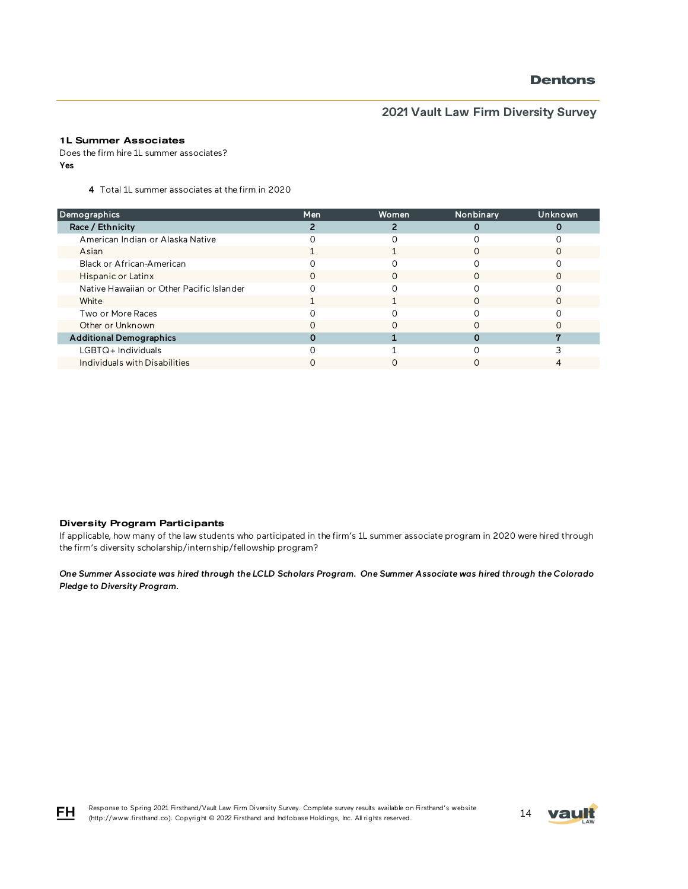# **2021 Vault Law Firm Diversity Survey**

### 1L Summer Associates

Does the firm hire 1L summer associates? Yes

4 Total 1L summer associates at the firm in 2020

| Demographics                              | Men | Women | Nonbinary | Unknown |
|-------------------------------------------|-----|-------|-----------|---------|
| Race / Ethnicity                          |     |       |           |         |
| American Indian or Alaska Native          |     |       |           |         |
| Asian                                     |     |       |           |         |
| Black or African-American                 |     |       |           |         |
| Hispanic or Latinx                        | Ω   | Ω     |           |         |
| Native Hawaiian or Other Pacific Islander |     |       |           |         |
| White                                     |     |       |           |         |
| Two or More Races                         |     |       |           |         |
| Other or Unknown                          |     |       |           |         |
| <b>Additional Demographics</b>            |     |       |           |         |
| $LGBTQ+$ Individuals                      |     |       |           |         |
| Individuals with Disabilities             |     |       |           |         |

#### Diversity Program Participants

If applicable, how many of the law students who participated in the firm's 1L summer associate program in 2020 were hired through the firm's diversity scholarship/internship/fellowship program?

*One Summer Associate was hired through the LCLD Scholars Program. One Summer Associate was hired through the Colorado Pledge to Diversity Program.*



Response to Spring 2021 Firsthand/Vault Law Firm Diversity Survey. Complete survey results available on Firsthand's website Response to Spring 2021 Hirsthand/Vault Law Hirm Diversity Survey. Complete survey results available on Firsthand Swebsite<br>(http://www.firsthand.co). Copyright © 2022 Firsthand and Indfobase Holdings, Inc. All rights reser

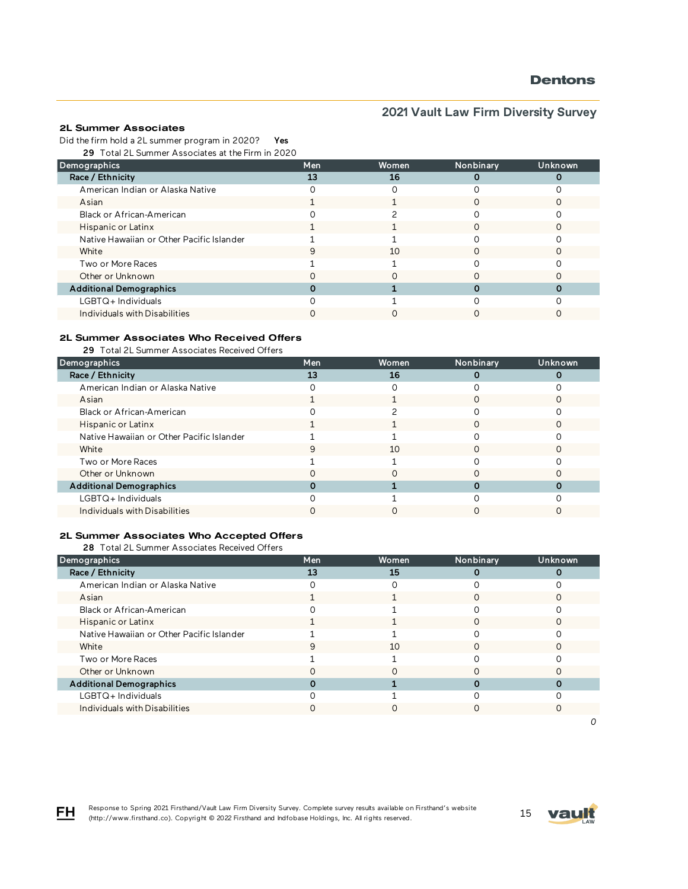# **2021 Vault Law Firm Diversity Survey**

#### 2L Summer Associates

Did the firm hold a 2L summer program in 2020? Yes

29 Total 2L Summer Associates at the Firm in 2020

| Demographics                              | Men | <b>Women</b> | Nonbinary | Unknown |
|-------------------------------------------|-----|--------------|-----------|---------|
| Race / Ethnicity                          | 13  | 16           |           |         |
| American Indian or Alaska Native          |     |              |           |         |
| Asian                                     |     |              |           |         |
| Black or African-American                 |     |              |           |         |
| Hispanic or Latinx                        |     |              |           |         |
| Native Hawaiian or Other Pacific Islander |     |              |           |         |
| White                                     |     | 10           |           |         |
| Two or More Races                         |     |              |           |         |
| Other or Unknown                          |     |              |           |         |
| <b>Additional Demographics</b>            |     |              |           |         |
| $LGBTQ+$ Individuals                      |     |              |           |         |
| Individuals with Disabilities             |     |              |           |         |

### 2L Summer Associates Who Received Offers

29 Total 2L Summer Associates Received Offers

| Demographics                              | Men | <b>Women</b> | Nonbinary | Unknown |
|-------------------------------------------|-----|--------------|-----------|---------|
| Race / Ethnicity                          | 13  | 16           |           |         |
| American Indian or Alaska Native          |     |              |           |         |
| Asian                                     |     |              |           |         |
| Black or African-American                 |     |              |           |         |
| Hispanic or Latinx                        |     |              | ∩         |         |
| Native Hawaiian or Other Pacific Islander |     |              |           |         |
| White                                     |     | 10           |           |         |
| Two or More Races                         |     |              |           |         |
| Other or Unknown                          |     |              |           |         |
| <b>Additional Demographics</b>            |     |              |           |         |
| LGBTQ+Individuals                         |     |              |           |         |
| Individuals with Disabilities             |     |              |           |         |

#### 2L Summer Associates Who Accepted Offers

28 Total 2L Summer Associates Received Offers

| Demographics                              | Men | Women | Nonbinary | Unknown |
|-------------------------------------------|-----|-------|-----------|---------|
| Race / Ethnicity                          | 13  | 15    |           |         |
| American Indian or Alaska Native          |     |       |           |         |
| Asian                                     |     |       |           |         |
| Black or African-American                 |     |       |           |         |
| Hispanic or Latinx                        |     |       |           |         |
| Native Hawaiian or Other Pacific Islander |     |       |           |         |
| White                                     |     | 10    |           |         |
| Two or More Races                         |     |       |           |         |
| Other or Unknown                          |     |       |           |         |
| <b>Additional Demographics</b>            |     |       |           |         |
| $LGBTQ+$ Individuals                      |     |       |           |         |
| Individuals with Disabilities             |     | Ω     |           |         |
|                                           |     |       |           |         |



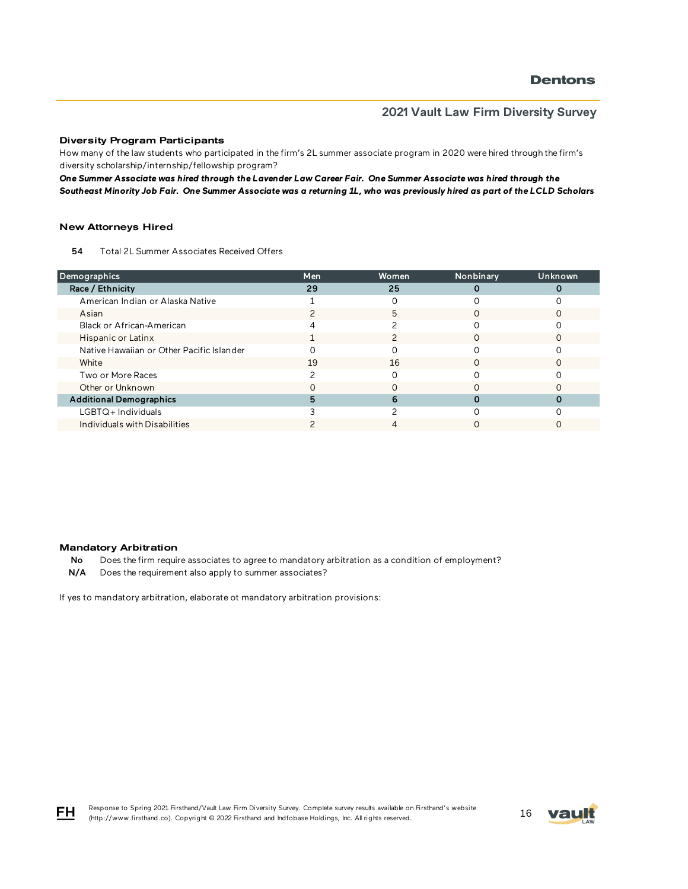#### Diversity Program Participants

How many of the law students who participated in the firm's 2L summer associate program in 2020 were hired through the firm's diversity scholarship/internship/fellowship program?

*One Summer Associate was hired through the Lavender Law Career Fair. One Summer Associate was hired through the Southeast Minority Job Fair. One Summer Associate was a returning 1L, who was previously hired as part of the LCLD Scholars* 

#### New Attorneys Hired

54 Total 2L Summer Associates Received Offers

| <b>Demographics</b>                       | Men | Women | Nonbinary | <b>Unknown</b> |
|-------------------------------------------|-----|-------|-----------|----------------|
| Race / Ethnicity                          | 29  | 25    |           |                |
| American Indian or Alaska Native          |     |       |           |                |
| Asian                                     |     | 5     |           |                |
| Black or African-American                 |     |       |           |                |
| Hispanic or Latinx                        |     |       |           |                |
| Native Hawaiian or Other Pacific Islander |     |       |           |                |
| White                                     | 19  | 16    |           |                |
| Two or More Races                         |     |       |           |                |
| Other or Unknown                          |     |       |           |                |
| <b>Additional Demographics</b>            | 5   | 6     |           |                |
| $LGBTQ+$ Individuals                      |     |       |           |                |
| Individuals with Disabilities             |     |       |           |                |

#### Mandatory Arbitration

No Does the firm require associates to agree to mandatory arbitration as a condition of employment?

N/A Does the requirement also apply to summer associates?

If yes to mandatory arbitration, elaborate ot mandatory arbitration provisions:



Response to Spring 2021 Firsthand/Vault Law Firm Diversity Survey. Complete survey results available on Firsthand's website Response to Spring 2021 Firsthand/Vault Law Firm Diversity Survey. Complete survey results available on Firsthand's website<br>(http://www.firsthand.co). Copyright © 2022 Firsthand and Indfobase Holdings, Inc. All rights rese

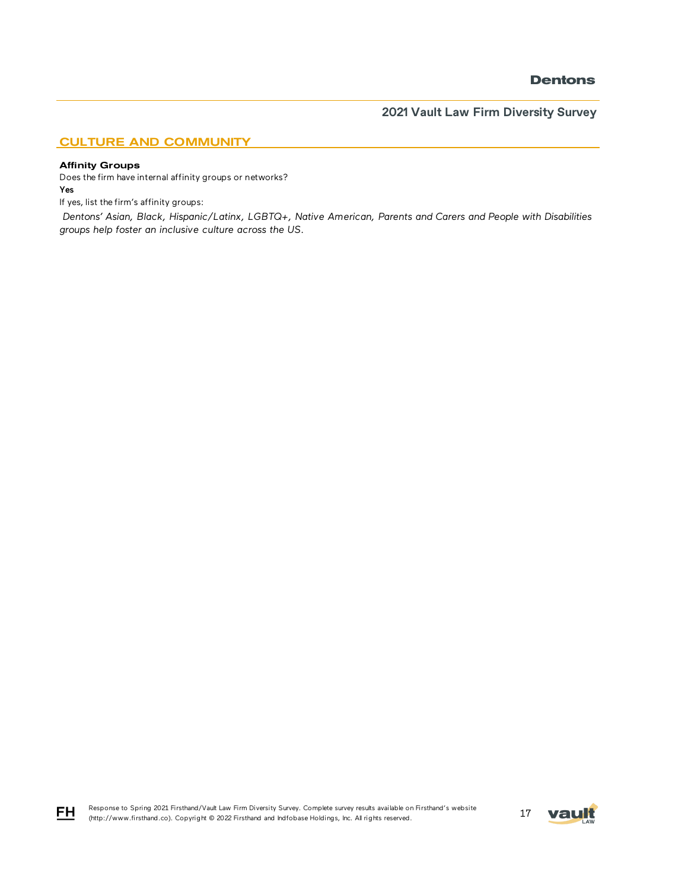**2021 Vault Law Firm Diversity Survey**

### CULTURE AND COMMUNITY

#### Affinity Groups

Does the firm have internal affinity groups or networks? Yes

If yes, list the firm's affinity groups:

 *Dentons' Asian, Black, Hispanic/Latinx, LGBTQ+, Native American, Parents and Carers and People with Disabilities groups help foster an inclusive culture across the US.* 



$$
\overline{\mathsf{F}}\mathsf{H}
$$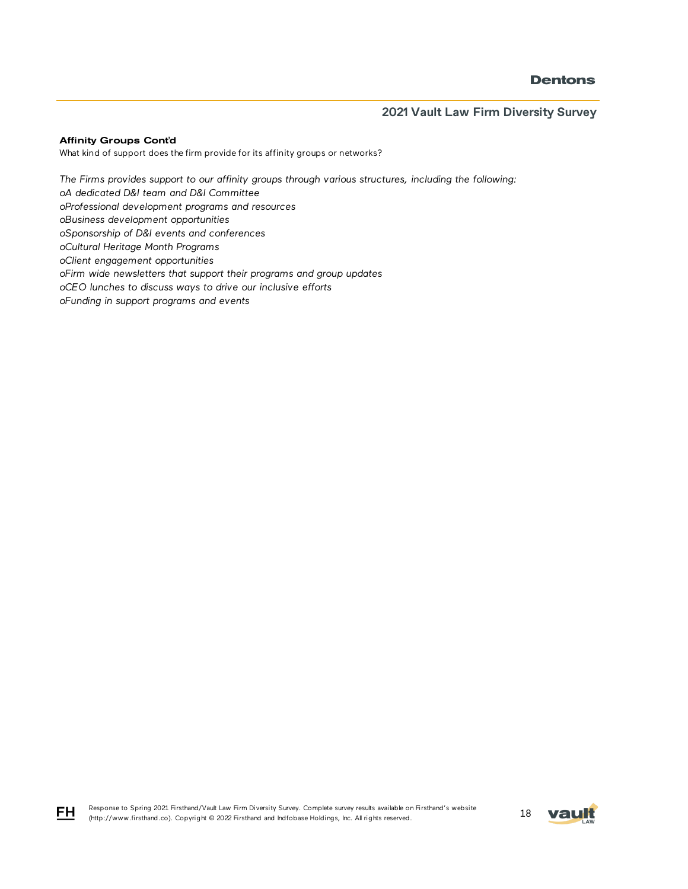### **2021 Vault Law Firm Diversity Survey**

#### Affinity Groups Cont'd

FH

What kind of support does the firm provide for its affinity groups or networks?

*The Firms provides support to our affinity groups through various structures, including the following: oA dedicated D&I team and D&I Committee oProfessional development programs and resources oBusiness development opportunities oSponsorship of D&I events and conferences oCultural Heritage Month Programs oClient engagement opportunities oFirm wide newsletters that support their programs and group updates oCEO lunches to discuss ways to drive our inclusive efforts oFunding in support programs and events* 

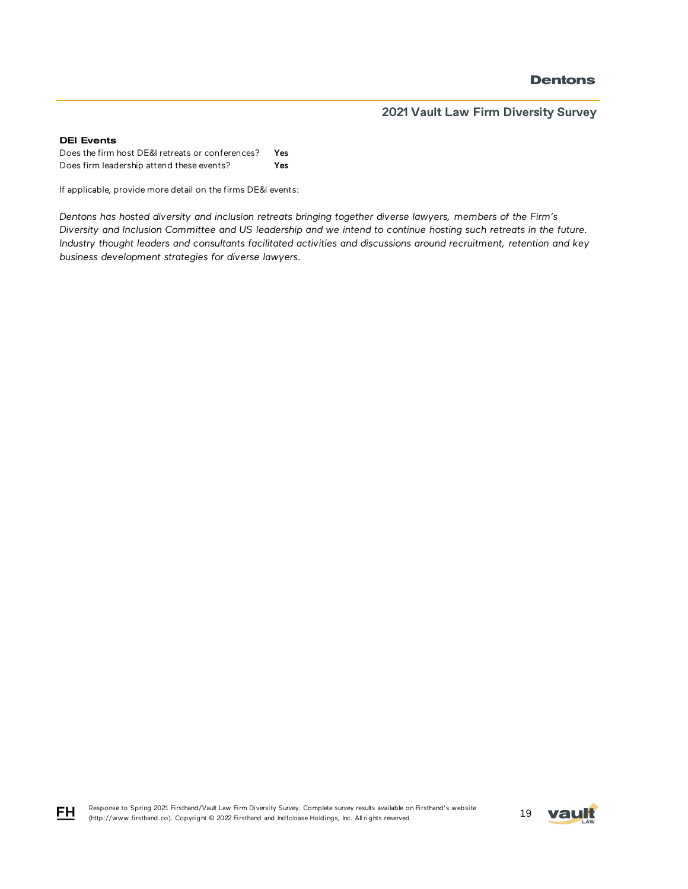### **2021 Vault Law Firm Diversity Survey**

#### DEI Events

Does the firm host DE&I retreats or conferences? Yes Does firm leadership attend these events? Yes

If applicable, provide more detail on the firms DE&I events:

*Dentons has hosted diversity and inclusion retreats bringing together diverse lawyers, members of the Firm's Diversity and Inclusion Committee and US leadership and we intend to continue hosting such retreats in the future. Industry thought leaders and consultants facilitated activities and discussions around recruitment, retention and key business development strategies for diverse lawyers.*





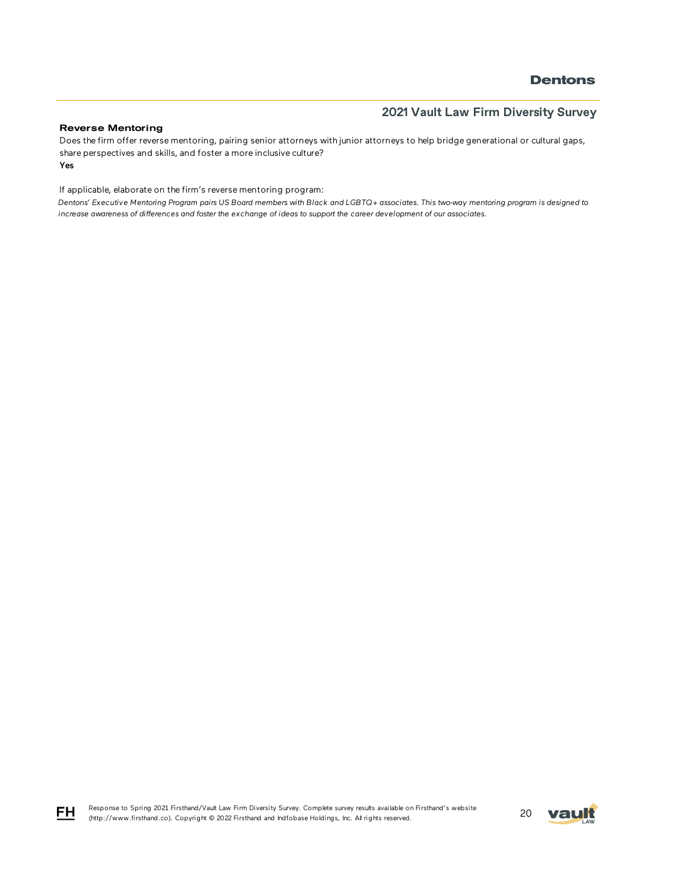### **2021 Vault Law Firm Diversity Survey**

#### Reverse Mentoring

Yes Does the firm offer reverse mentoring, pairing senior attorneys with junior attorneys to help bridge generational or cultural gaps, share perspectives and skills, and foster a more inclusive culture?

If applicable, elaborate on the firm's reverse mentoring program:

*Dentons' Executive Mentoring Program pairs US Board members with Black and LGBTQ+ associates. This two-way mentoring program is designed to increase awareness of differences and foster the exchange of ideas to support the career development of our associates.* 



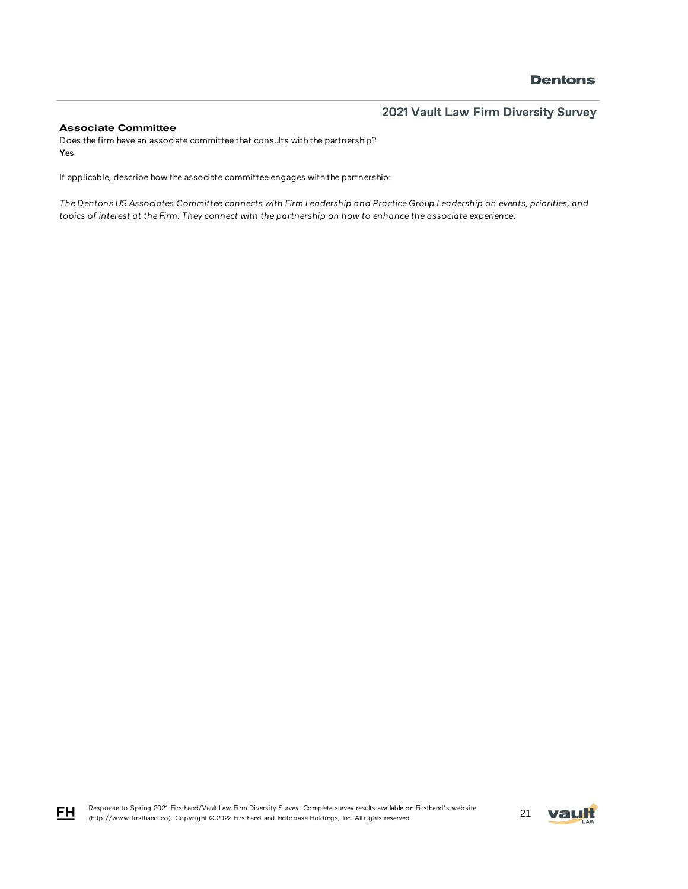# **2021 Vault Law Firm Diversity Survey**

#### Associate Committee

Does the firm have an associate committee that consults with the partnership? Yes

If applicable, describe how the associate committee engages with the partnership:

*The Dentons US Associates Committee connects with Firm Leadership and Practice Group Leadership on events, priorities, and topics of interest at the Firm. They connect with the partnership on how to enhance the associate experience.*





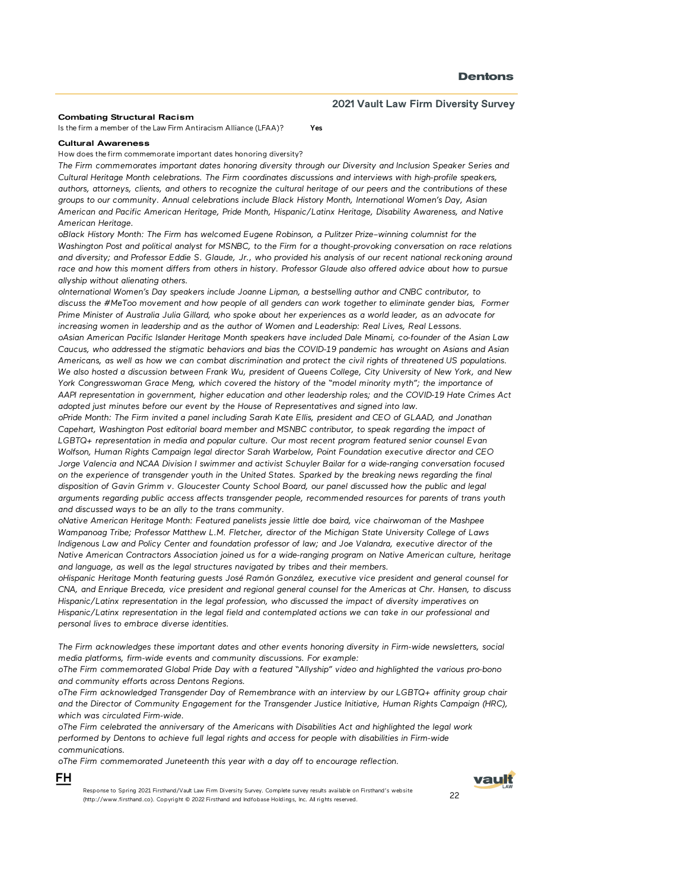#### Combating Structural Racism

Is the firm a member of the Law Firm Antiracism Alliance (LFAA)? Yes

#### Cultural Awareness

FH

How does the firm commemorate important dates honoring diversity?

*The Firm commemorates important dates honoring diversity through our Diversity and Inclusion Speaker Series and Cultural Heritage Month celebrations. The Firm coordinates discussions and interviews with high-profile speakers, authors, attorneys, clients, and others to recognize the cultural heritage of our peers and the contributions of these groups to our community. Annual celebrations include Black History Month, International Women's Day, Asian American and Pacific American Heritage, Pride Month, Hispanic/Latinx Heritage, Disability Awareness, and Native American Heritage.* 

*oBlack History Month: The Firm has welcomed Eugene Robinson, a Pulitzer Prize–winning columnist for the Washington Post and political analyst for MSNBC, to the Firm for a thought-provoking conversation on race relations*  and diversity; and Professor Eddie S. Glaude, Jr., who provided his analysis of our recent national reckoning around race and how this moment differs from others in history. Professor Glaude also offered advice about how to pursue *allyship without alienating others.* 

*oInternational Women's Day speakers include Joanne Lipman, a bestselling author and CNBC contributor, to discuss the #MeToo movement and how people of all genders can work together to eliminate gender bias, Former Prime Minister of Australia Julia Gillard, who spoke about her experiences as a world leader, as an advocate for increasing women in leadership and as the author of Women and Leadership: Real Lives, Real Lessons. oAsian American Pacific Islander Heritage Month speakers have included Dale Minami, co-founder of the Asian Law Caucus, who addressed the stigmatic behaviors and bias the COVID-19 pandemic has wrought on Asians and Asian Americans, as well as how we can combat discrimination and protect the civil rights of threatened US populations. We also hosted a discussion between Frank Wu, president of Queens College, City University of New York, and New York Congresswoman Grace Meng, which covered the history of the "model minority myth"; the importance of AAPI representation in government, higher education and other leadership roles; and the COVID-19 Hate Crimes Act adopted just minutes before our event by the House of Representatives and signed into law.* 

*oPride Month: The Firm invited a panel including Sarah Kate Ellis, president and CEO of GLAAD, and Jonathan Capehart, Washington Post editorial board member and MSNBC contributor, to speak regarding the impact of LGBTQ+ representation in media and popular culture. Our most recent program featured senior counsel Evan Wolfson, Human Rights Campaign legal director Sarah Warbelow, Point Foundation executive director and CEO Jorge Valencia and NCAA Division I swimmer and activist Schuyler Bailar for a wide-ranging conversation focused on the experience of transgender youth in the United States. Sparked by the breaking news regarding the final disposition of Gavin Grimm v. Gloucester County School Board, our panel discussed how the public and legal arguments regarding public access affects transgender people, recommended resources for parents of trans youth and discussed ways to be an ally to the trans community.*

*oNative American Heritage Month: Featured panelists jessie little doe baird, vice chairwoman of the Mashpee Wampanoag Tribe; Professor Matthew L.M. Fletcher, director of the Michigan State University College of Laws Indigenous Law and Policy Center and foundation professor of law; and Joe Valandra, executive director of the Native American Contractors Association joined us for a wide-ranging program on Native American culture, heritage and language, as well as the legal structures navigated by tribes and their members.*

*oHispanic Heritage Month featuring guests José Ramón González, executive vice president and general counsel for CNA, and Enrique Breceda, vice president and regional general counsel for the Americas at Chr. Hansen, to discuss Hispanic/Latinx representation in the legal profession, who discussed the impact of diversity imperatives on Hispanic/Latinx representation in the legal field and contemplated actions we can take in our professional and personal lives to embrace diverse identities.*

*The Firm acknowledges these important dates and other events honoring diversity in Firm-wide newsletters, social media platforms, firm-wide events and community discussions. For example:* 

*oThe Firm commemorated Global Pride Day with a featured "Allyship" video and highlighted the various pro-bono and community efforts across Dentons Regions.*

*oThe Firm acknowledged Transgender Day of Remembrance with an interview by our LGBTQ+ affinity group chair and the Director of Community Engagement for the Transgender Justice Initiative, Human Rights Campaign (HRC), which was circulated Firm-wide.*

*oThe Firm celebrated the anniversary of the Americans with Disabilities Act and highlighted the legal work performed by Dentons to achieve full legal rights and access for people with disabilities in Firm-wide communications.*

*oThe Firm commemorated Juneteenth this year with a day off to encourage reflection.*

vaull

Response to Spring 2021 Firsthand/Vault Law Firm Diversity Survey. Complete survey results available on Firsthand's website Response to Spring 2021 Firsthand/Vault Law Firm Diversity Survey. Complete survey results available on Firsthand's website 22<br>(http://www.firsthand.co). Copyright © 2022 Firsthand and Indfobase Holdings, Inc. All rights r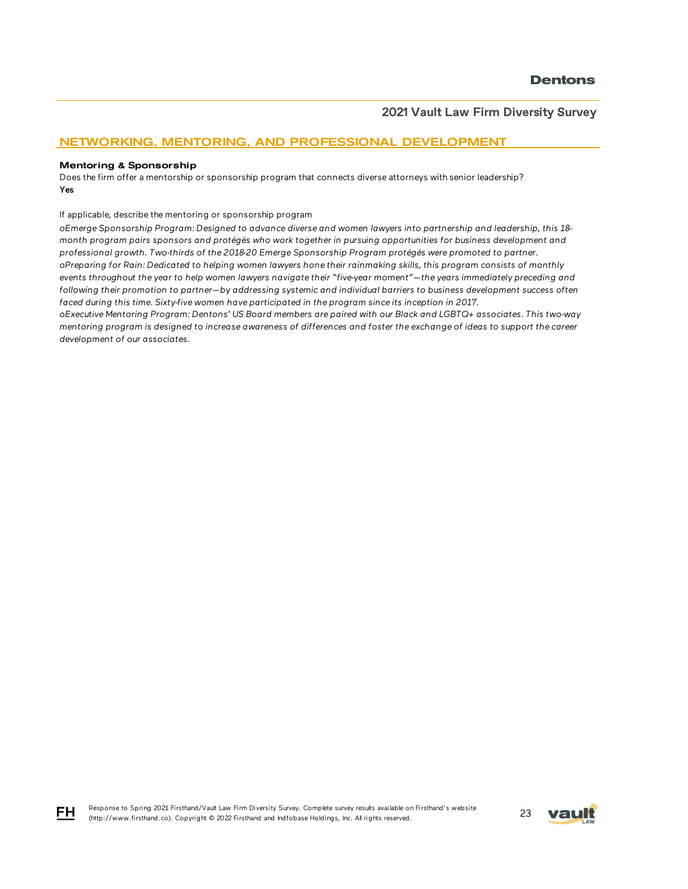### NETWORKING, MENTORING, AND PROFESSIONAL DEVELOPMENT

#### Mentoring & Sponsorship

FH

Does the firm offer a mentorship or sponsorship program that connects diverse attorneys with senior leadership? Yes

If applicable, describe the mentoring or sponsorship program

*oEmerge Sponsorship Program: Designed to advance diverse and women lawyers into partnership and leadership, this 18 month program pairs sponsors and protégés who work together in pursuing opportunities for business development and professional growth. Two-thirds of the 2018-20 Emerge Sponsorship Program protégés were promoted to partner. oPreparing for Rain: Dedicated to helping women lawyers hone their rainmaking skills, this program consists of monthly events throughout the year to help women lawyers navigate their "five-year moment"—the years immediately preceding and following their promotion to partner—by addressing systemic and individual barriers to business development success often*  faced during this time. Sixty-five women have participated in the program since its inception in 2017.

*oExecutive Mentoring Program: Dentons' US Board members are paired with our Black and LGBTQ+ associates. This two-way mentoring program is designed to increase awareness of differences and foster the exchange of ideas to support the career development of our associates.*

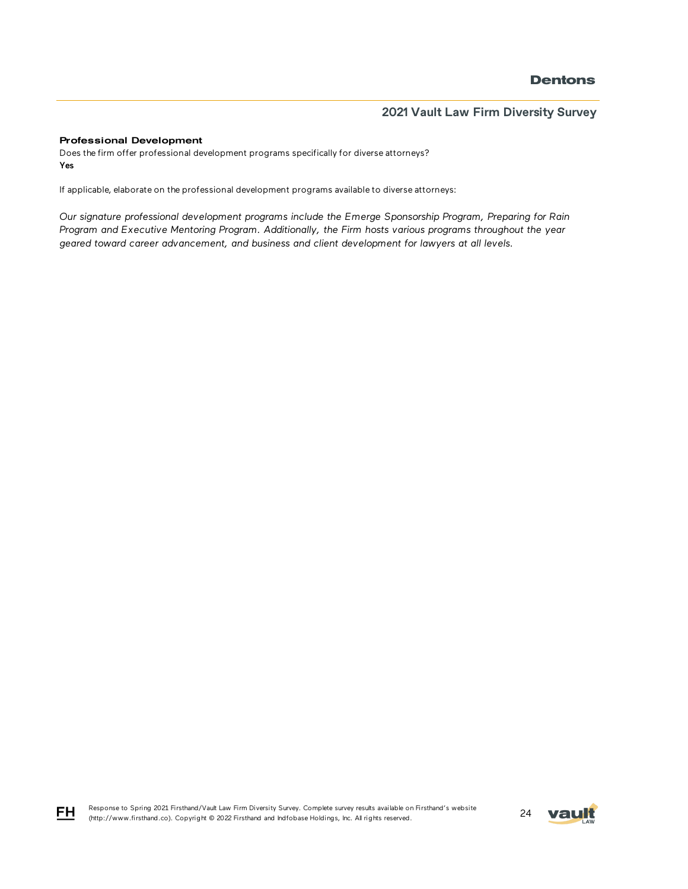#### Professional Development

Does the firm offer professional development programs specifically for diverse attorneys? Yes

If applicable, elaborate on the professional development programs available to diverse attorneys:

*Our signature professional development programs include the Emerge Sponsorship Program, Preparing for Rain Program and Executive Mentoring Program. Additionally, the Firm hosts various programs throughout the year geared toward career advancement, and business and client development for lawyers at all levels.* 

Response to Spring 2021 Firsthand/Vault Law Firm Diversity Survey. Complete survey results available on Firsthand's website Response to Spring 2021 Firsthand/Vault Law Firm Diversity Survey. Complete survey results available on Firsthand's website<br>(http://www.firsthand.co). Copyright © 2022 Firsthand and Indfobase Holdings, Inc. All rights rese



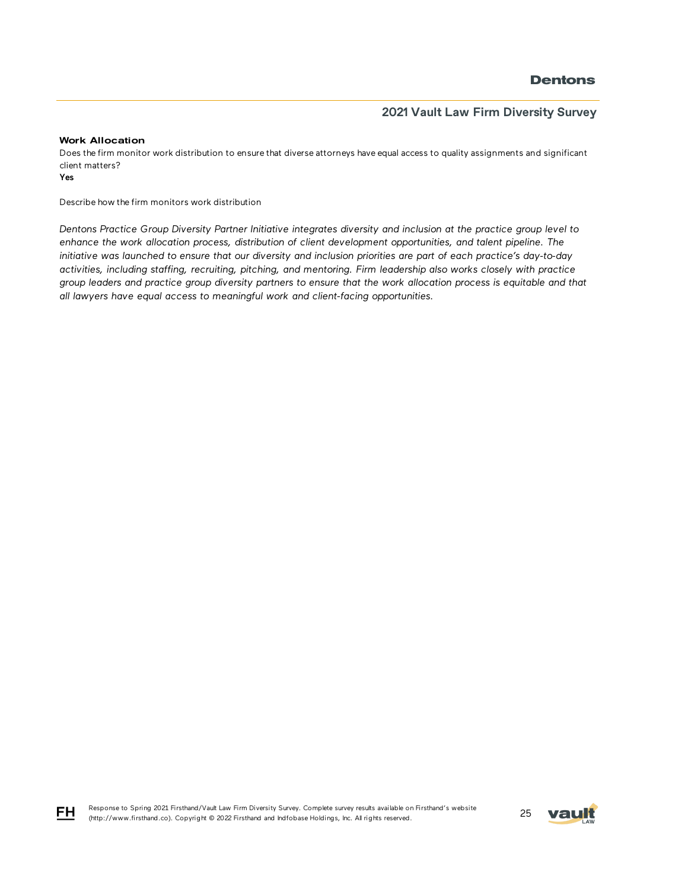### **2021 Vault Law Firm Diversity Survey**

#### Work Allocation

Does the firm monitor work distribution to ensure that diverse attorneys have equal access to quality assignments and significant client matters?

Yes

Describe how the firm monitors work distribution

*Dentons Practice Group Diversity Partner Initiative integrates diversity and inclusion at the practice group level to*  enhance the work allocation process, distribution of client development opportunities, and talent pipeline. The *initiative was launched to ensure that our diversity and inclusion priorities are part of each practice's day-to-day activities, including staffing, recruiting, pitching, and mentoring. Firm leadership also works closely with practice group leaders and practice group diversity partners to ensure that the work allocation process is equitable and that all lawyers have equal access to meaningful work and client-facing opportunities.*



FH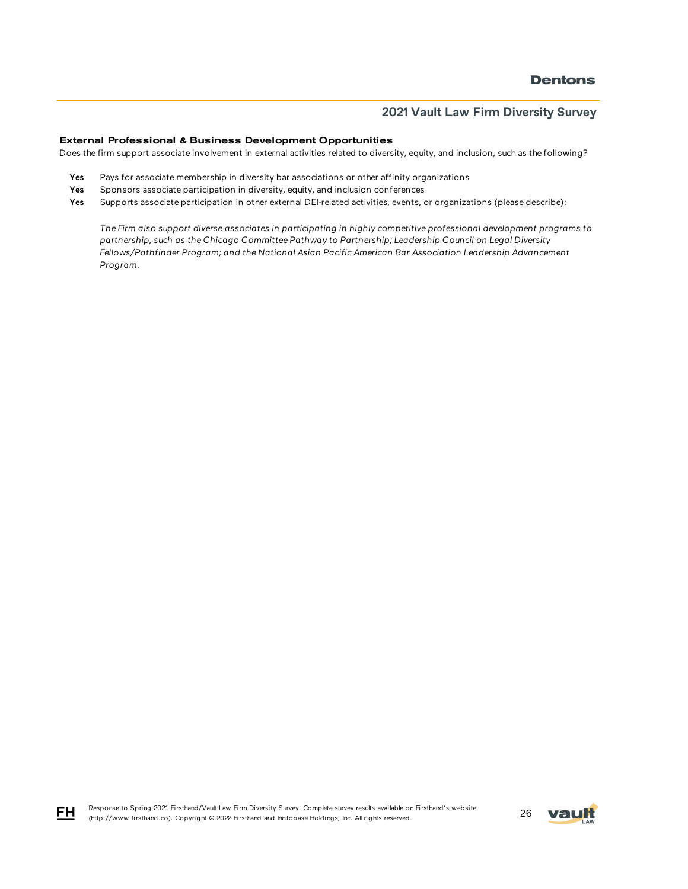#### External Professional & Business Development Opportunities

Does the firm support associate involvement in external activities related to diversity, equity, and inclusion, such as the following?

- Yes Pays for associate membership in diversity bar associations or other affinity organizations
- Yes Sponsors associate participation in diversity, equity, and inclusion conferences
- Yes Supports associate participation in other external DEI-related activities, events, or organizations (please describe):

*The Firm also support diverse associates in participating in highly competitive professional development programs to partnership, such as the Chicago Committee Pathway to Partnership; Leadership Council on Legal Diversity Fellows/Pathfinder Program; and the National Asian Pacific American Bar Association Leadership Advancement Program.* 

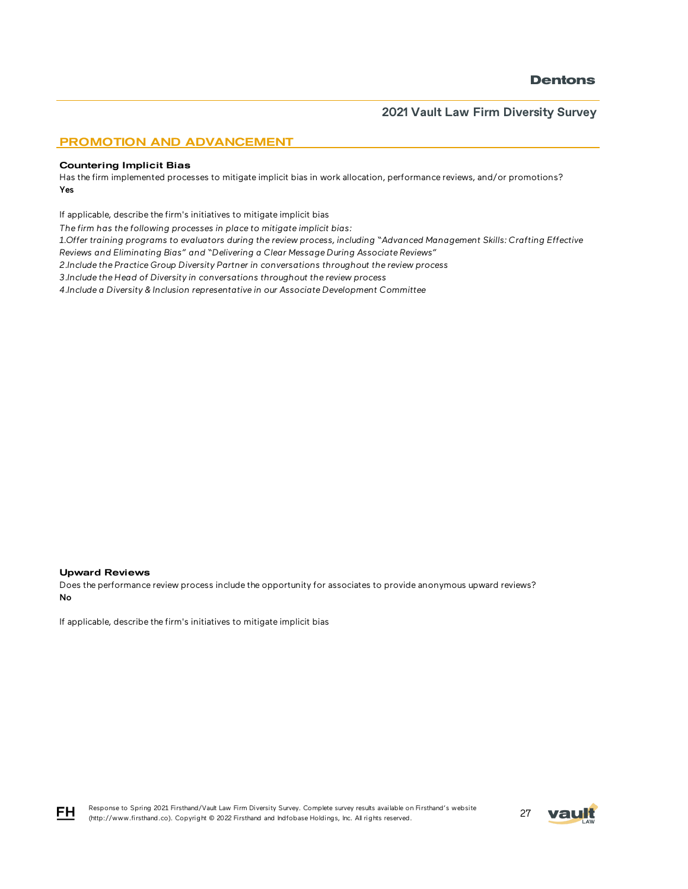### PROMOTION AND ADVANCEMENT

#### Countering Implicit Bias

Has the firm implemented processes to mitigate implicit bias in work allocation, performance reviews, and/or promotions? Yes

If applicable, describe the firm's initiatives to mitigate implicit bias

*The firm has the following processes in place to mitigate implicit bias:*

*1.Offer training programs to evaluators during the review process, including "Advanced Management Skills: Crafting Effective* 

*Reviews and Eliminating Bias" and "Delivering a Clear Message During Associate Reviews"*

*2.Include the Practice Group Diversity Partner in conversations throughout the review process*

*3.Include the Head of Diversity in conversations throughout the review process*

*4.Include a Diversity & Inclusion representative in our Associate Development Committee*

#### Upward Reviews

Does the performance review process include the opportunity for associates to provide anonymous upward reviews? No

If applicable, describe the firm's initiatives to mitigate implicit bias



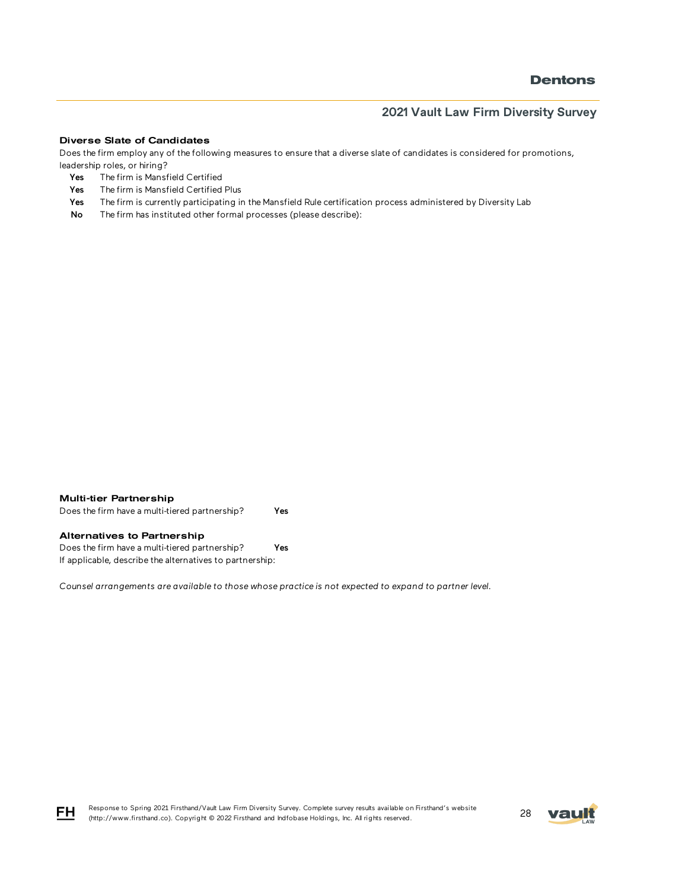### **2021 Vault Law Firm Diversity Survey**

#### Diverse Slate of Candidates

Does the firm employ any of the following measures to ensure that a diverse slate of candidates is considered for promotions, leadership roles, or hiring?

- Yes The firm is Mansfield Certified
- Yes The firm is Mansfield Certified Plus
- Yes The firm is currently participating in the Mansfield Rule certification process administered by Diversity Lab
- No The firm has instituted other formal processes (please describe):

| <b>Multi-tier Partnership</b> |
|-------------------------------|
|                               |

Does the firm have a multi-tiered partnership? Yes

#### Alternatives to Partnership

Does the firm have a multi-tiered partnership? Yes If applicable, describe the alternatives to partnership:

*Counsel arrangements are available to those whose practice is not expected to expand to partner level.*



Response to Spring 2021 Firsthand/Vault Law Firm Diversity Survey. Complete survey results available on Firsthand's website Response to Spring 2021 Firsthand/vault Law Firm Diversity Survey. Complete survey results available on Firsthand's website<br>(http://www.firsthand.co). Copyright © 2022 Firsthand and Indfobase Holdings, Inc. All rights rese

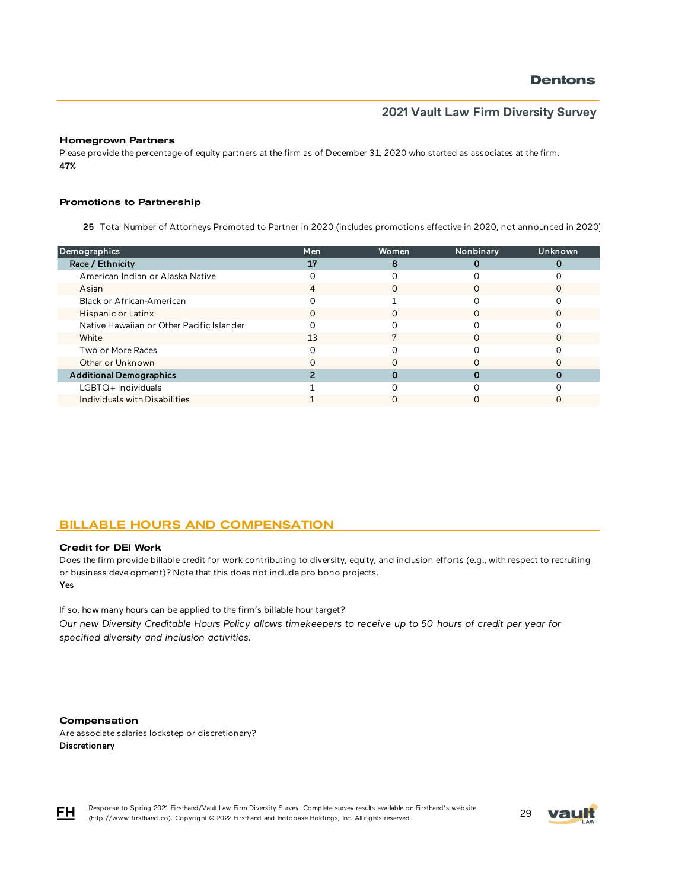#### Homegrown Partners

Please provide the percentage of equity partners at the firm as of December 31, 2020 who started as associates at the firm. 47%

#### Promotions to Partnership

25 Total Number of Attorneys Promoted to Partner in 2020 (includes promotions effective in 2020, not announced in 2020)

| Demographics                              | Men | Women         | Nonbinary | <b>Unknown</b> |
|-------------------------------------------|-----|---------------|-----------|----------------|
| Race / Ethnicity                          | 17  |               |           |                |
| American Indian or Alaska Native          |     |               |           |                |
| Asian                                     |     | $\mathcal{L}$ |           |                |
| Black or African-American                 |     |               |           |                |
| Hispanic or Latinx                        |     |               |           |                |
| Native Hawaiian or Other Pacific Islander |     |               |           |                |
| White                                     | 13  |               |           |                |
| Two or More Races                         |     |               |           |                |
| Other or Unknown                          |     |               |           |                |
| <b>Additional Demographics</b>            |     |               |           |                |
| $LGBTQ+$ Individuals                      |     |               |           |                |
| Individuals with Disabilities             |     |               |           |                |
|                                           |     |               |           |                |

### BILLABLE HOURS AND COMPENSATION

#### Credit for DEI Work

Yes Does the firm provide billable credit for work contributing to diversity, equity, and inclusion efforts (e.g., with respect to recruiting or business development)? Note that this does not include pro bono projects.

If so, how many hours can be applied to the firm's billable hour target?

*Our new Diversity Creditable Hours Policy allows timekeepers to receive up to 50 hours of credit per year for specified diversity and inclusion activities.*

#### Compensation

Are associate salaries lockstep or discretionary? Discretionary



Response to Spring 2021 Firsthand/Vault Law Firm Diversity Survey. Complete survey results available on Firsthand's website Response to Spring 2021 Firsthand/Vault Law Firm Diversity Survey. Complete survey results available on Firsthand's website<br>(http://www.firsthand.co). Copyright © 2022 Firsthand and Indfobase Holdings, Inc. All rights rese

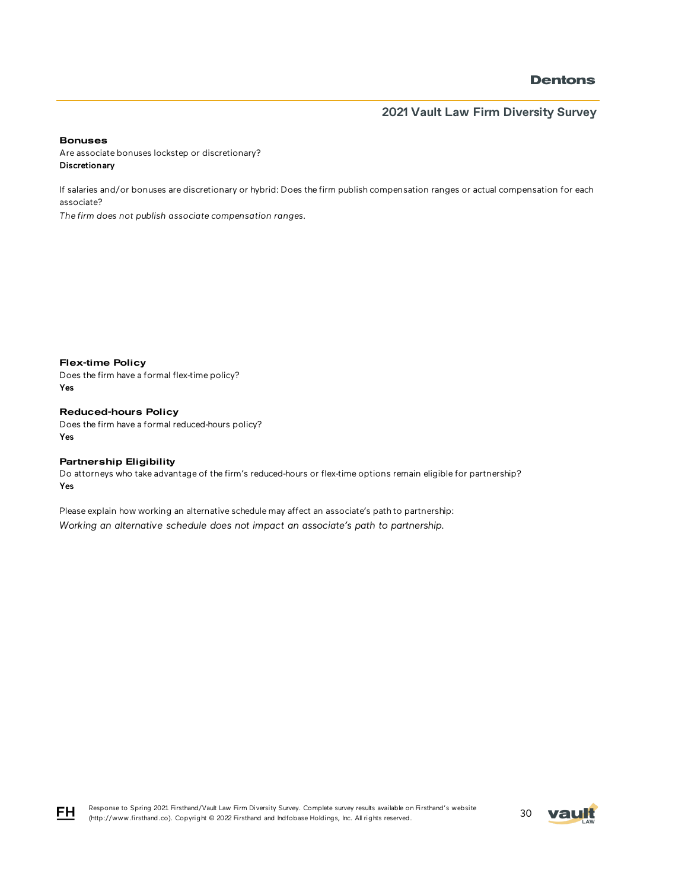**2021 Vault Law Firm Diversity Survey**

Bonuses

Are associate bonuses lockstep or discretionary? Discretionary

If salaries and/or bonuses are discretionary or hybrid: Does the firm publish compensation ranges or actual compensation for each associate?

*The firm does not publish associate compensation ranges.*

Flex-time Policy Does the firm have a formal flex-time policy? Yes

Reduced-hours Policy Does the firm have a formal reduced-hours policy? Yes

#### Partnership Eligibility

Do attorneys who take advantage of the firm's reduced-hours or flex-time options remain eligible for partnership? Yes

Please explain how working an alternative schedule may affect an associate's path to partnership: *Working an alternative schedule does not impact an associate's path to partnership.*

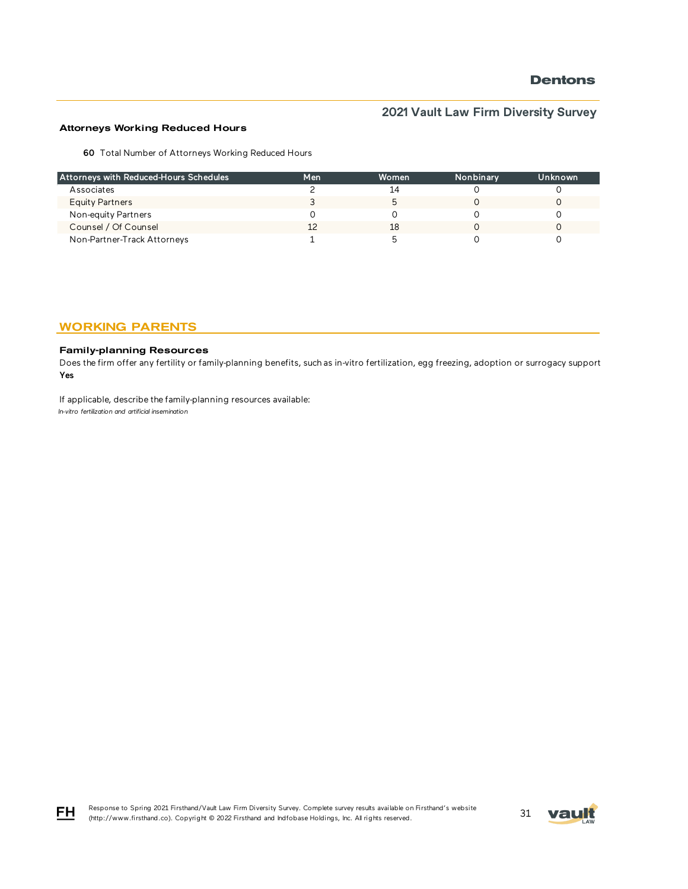# **2021 Vault Law Firm Diversity Survey**

#### Attorneys Working Reduced Hours

60 Total Number of Attorneys Working Reduced Hours

| Attorneys with Reduced-Hours Schedules | Men | Women | Nonbinary | Unknown |
|----------------------------------------|-----|-------|-----------|---------|
| Associates                             |     | 14    |           |         |
| <b>Equity Partners</b>                 |     |       |           |         |
| Non-equity Partners                    |     |       |           |         |
| Counsel / Of Counsel                   |     | 18    |           |         |
| Non-Partner-Track Attorneys            |     |       |           |         |

### WORKING PARENTS

#### Family-planning Resources

Does the firm offer any fertility or family-planning benefits, such as in-vitro fertilization, egg freezing, adoption or surrogacy support? Yes

If applicable, describe the family-planning resources available: *In-vitro fertilization and artificial insemination*





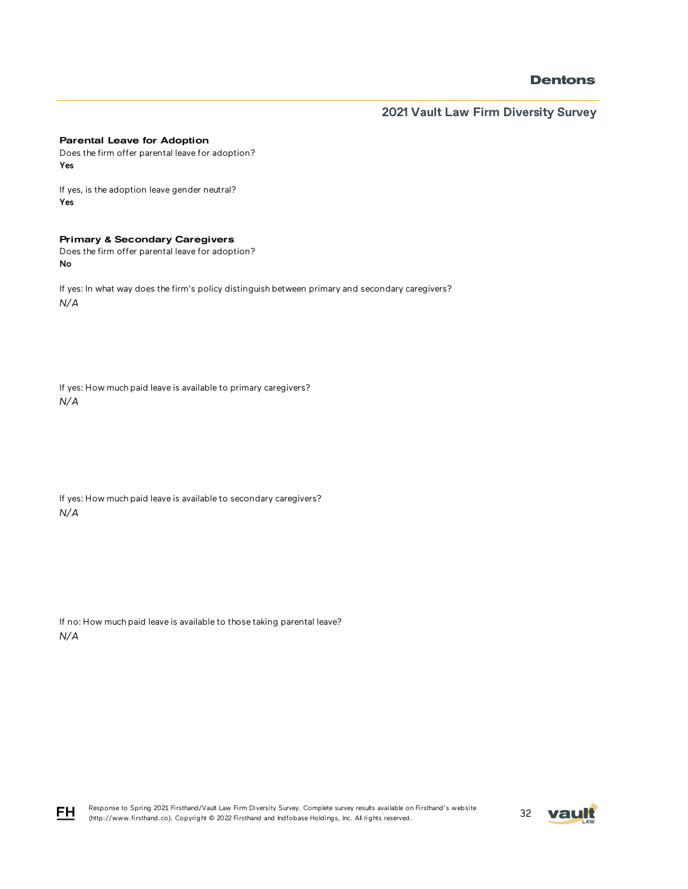**2021 Vault Law Firm Diversity Survey**

#### Parental Leave for Adoption

Does the firm offer parental leave for adoption? Yes

If yes, is the adoption leave gender neutral? Yes

#### Primary & Secondary Caregivers

Does the firm offer parental leave for adoption? No

If yes: In what way does the firm's policy distinguish between primary and secondary caregivers? *N/A*

If yes: How much paid leave is available to primary caregivers? *N/A*

If yes: How much paid leave is available to secondary caregivers? *N/A*

If no: How much paid leave is available to those taking parental leave? *N/A*



FH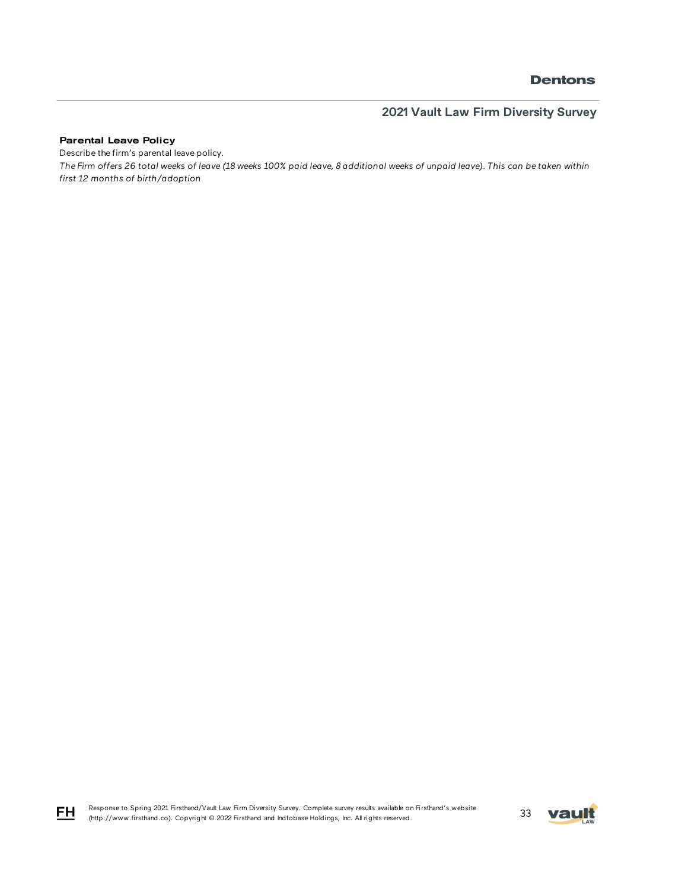# **2021 Vault Law Firm Diversity Survey**

#### Parental Leave Policy

FH

Describe the firm's parental leave policy.

*The Firm offers 26 total weeks of leave (18 weeks 100% paid leave, 8 additional weeks of unpaid leave). This can be taken within first 12 months of birth/adoption*

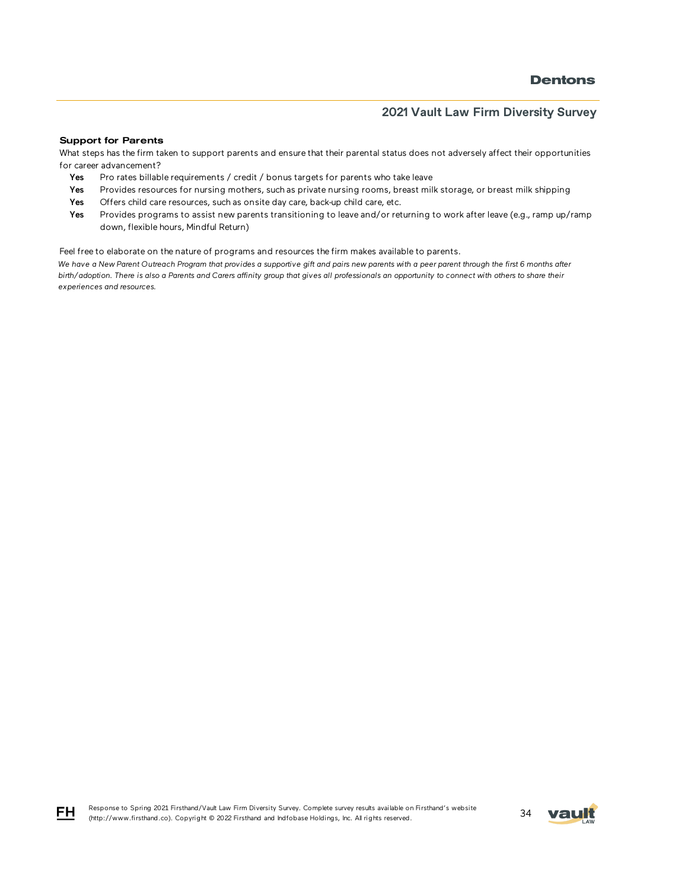#### Support for Parents

What steps has the firm taken to support parents and ensure that their parental status does not adversely affect their opportunities for career advancement?

- Yes Pro rates billable requirements / credit / bonus targets for parents who take leave
- Yes Provides resources for nursing mothers, such as private nursing rooms, breast milk storage, or breast milk shipping
- Yes Offers child care resources, such as onsite day care, back-up child care, etc.
- Yes Provides programs to assist new parents transitioning to leave and/or returning to work after leave (e.g., ramp up/ramp down, flexible hours, Mindful Return)

Feel free to elaborate on the nature of programs and resources the firm makes available to parents.

*We have a New Parent Outreach Program that provides a supportive gift and pairs new parents with a peer parent through the first 6 months after birth/adoption. There is also a Parents and Carers affinity group that gives all professionals an opportunity to connect with others to share their experiences and resources.*



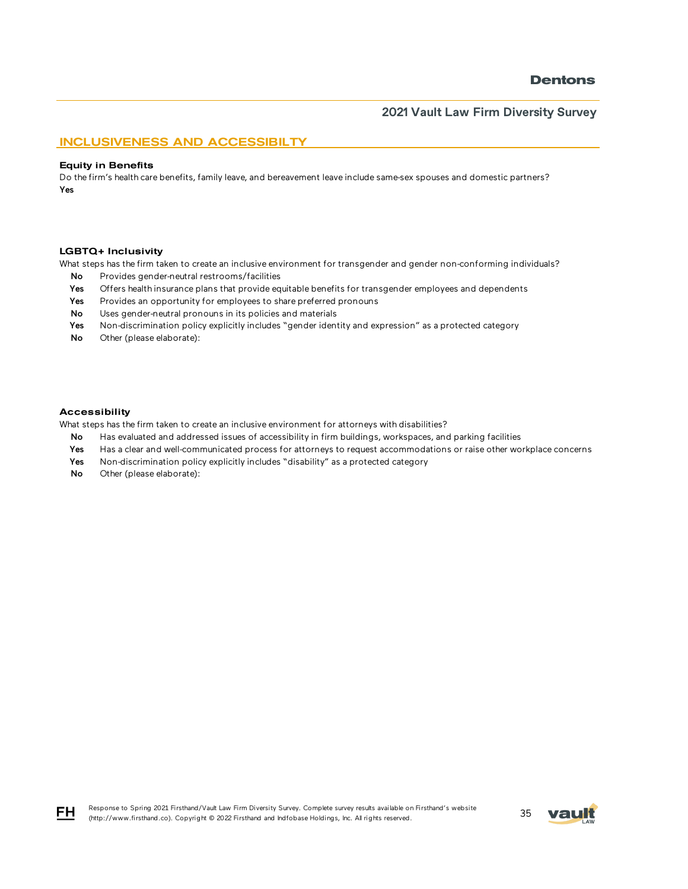#### INCLUSIVENESS AND ACCESSIBILTY

#### Equity in Benefits

Do the firm's health care benefits, family leave, and bereavement leave include same-sex spouses and domestic partners? Yes

#### LGBTQ+ Inclusivity

What steps has the firm taken to create an inclusive environment for transgender and gender non-conforming individuals?

- No Provides gender-neutral restrooms/facilities
- Yes Offers health insurance plans that provide equitable benefits for transgender employees and dependents
- Yes Provides an opportunity for employees to share preferred pronouns
- No Uses gender-neutral pronouns in its policies and materials
- Yes Non-discrimination policy explicitly includes "gender identity and expression" as a protected category
- No Other (please elaborate):

#### Accessibility

What steps has the firm taken to create an inclusive environment for attorneys with disabilities?

- No Has evaluated and addressed issues of accessibility in firm buildings, workspaces, and parking facilities
- Yes Has a clear and well-communicated process for attorneys to request accommodations or raise other workplace concerns
- Yes Non-discrimination policy explicitly includes "disability" as a protected category
- No Other (please elaborate):

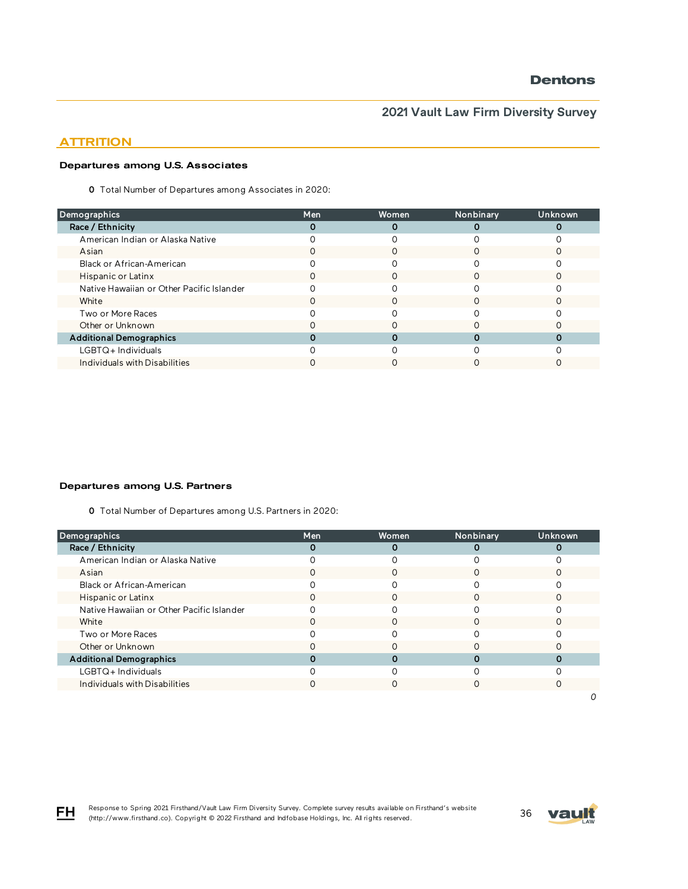### **ATTRITION**

#### Departures among U.S. Associates

0 Total Number of Departures among Associates in 2020:

| Men | Women | Nonbinary | Unknown |
|-----|-------|-----------|---------|
|     |       |           |         |
|     |       |           |         |
|     |       |           |         |
|     |       |           |         |
| O   | Ω     |           |         |
|     |       |           |         |
|     |       |           |         |
|     |       |           |         |
|     |       |           |         |
|     |       |           |         |
|     |       |           |         |
|     |       |           |         |
|     |       |           |         |

#### Departures among U.S. Partners

0 Total Number of Departures among U.S. Partners in 2020:

| Demographics                              | Men | Women | Nonbinary | Unknown |
|-------------------------------------------|-----|-------|-----------|---------|
| Race / Ethnicity                          |     | Ω     |           |         |
| American Indian or Alaska Native          |     |       |           |         |
| Asian                                     |     |       |           |         |
| Black or African-American                 |     |       |           |         |
| Hispanic or Latinx                        |     |       |           |         |
| Native Hawaiian or Other Pacific Islander |     |       |           |         |
| White                                     |     |       |           |         |
| Two or More Races                         |     |       |           |         |
| Other or Unknown                          |     |       |           |         |
| <b>Additional Demographics</b>            |     |       |           |         |
| LGBTQ+Individuals                         |     |       |           |         |
| Individuals with Disabilities             |     |       |           |         |
|                                           |     |       |           |         |



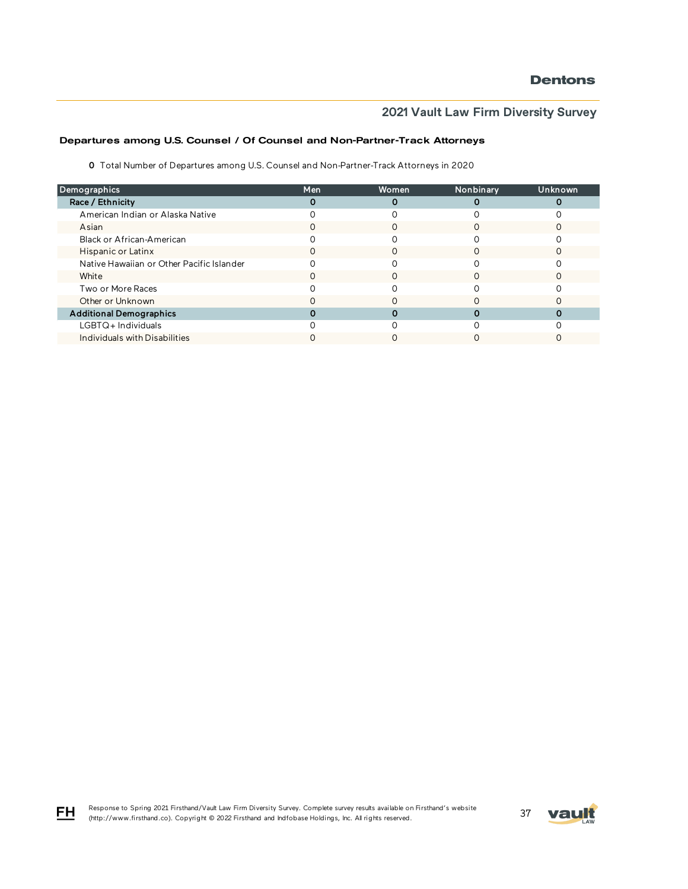# **2021 Vault Law Firm Diversity Survey**

### Departures among U.S. Counsel / Of Counsel and Non-Partner-Track Attorneys

0 Total Number of Departures among U.S. Counsel and Non-Partner-Track Attorneys in 2020

| Demographics                              | Men | Women | Nonbinary | Unknown |
|-------------------------------------------|-----|-------|-----------|---------|
| Race / Ethnicity                          |     |       |           |         |
| American Indian or Alaska Native          |     |       |           |         |
| Asian                                     |     |       |           |         |
| Black or African-American                 |     |       |           |         |
| Hispanic or Latinx                        | 0   | O     |           |         |
| Native Hawaiian or Other Pacific Islander |     |       |           |         |
| White                                     |     |       |           |         |
| Two or More Races                         |     |       |           |         |
| Other or Unknown                          |     |       |           |         |
| <b>Additional Demographics</b>            |     |       |           |         |
| LGBTQ+Individuals                         |     |       |           |         |
| Individuals with Disabilities             |     |       |           |         |

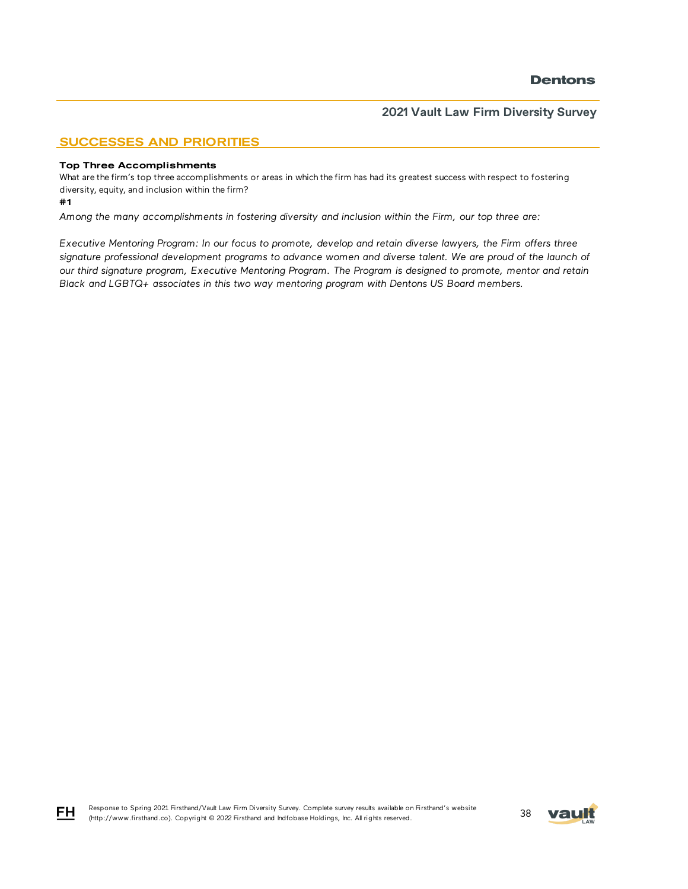### SUCCESSES AND PRIORITIES

#### Top Three Accomplishments

What are the firm's top three accomplishments or areas in which the firm has had its greatest success with respect to fostering diversity, equity, and inclusion within the firm?

#1

*Among the many accomplishments in fostering diversity and inclusion within the Firm, our top three are:*

*Executive Mentoring Program: In our focus to promote, develop and retain diverse lawyers, the Firm offers three*  signature professional development programs to advance women and diverse talent. We are proud of the launch of *our third signature program, Executive Mentoring Program. The Program is designed to promote, mentor and retain Black and LGBTQ+ associates in this two way mentoring program with Dentons US Board members.* 



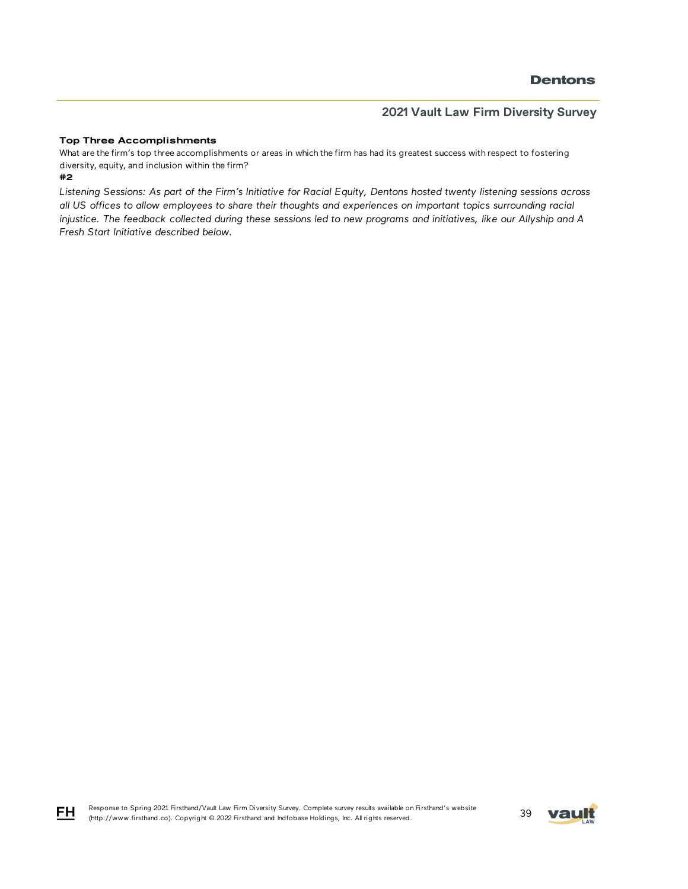### **2021 Vault Law Firm Diversity Survey**

#### Top Three Accomplishments

What are the firm's top three accomplishments or areas in which the firm has had its greatest success with respect to fostering diversity, equity, and inclusion within the firm?

#### #2

FH

*Listening Sessions: As part of the Firm's Initiative for Racial Equity, Dentons hosted twenty listening sessions across all US offices to allow employees to share their thoughts and experiences on important topics surrounding racial injustice. The feedback collected during these sessions led to new programs and initiatives, like our Allyship and A Fresh Start Initiative described below.* 

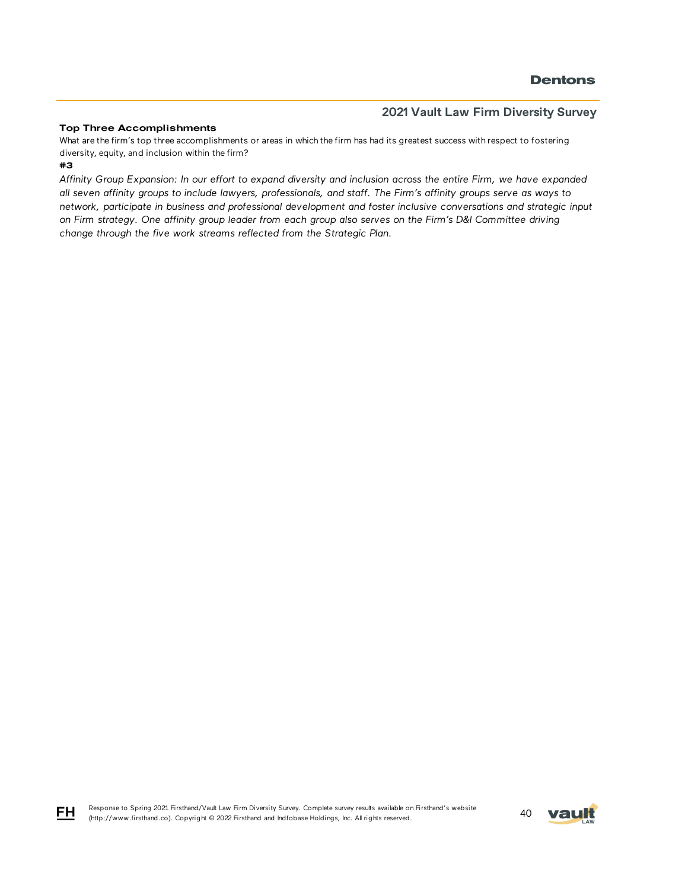#### Top Three Accomplishments

#3 What are the firm's top three accomplishments or areas in which the firm has had its greatest success with respect to fostering diversity, equity, and inclusion within the firm?

*Affinity Group Expansion: In our effort to expand diversity and inclusion across the entire Firm, we have expanded all seven affinity groups to include lawyers, professionals, and staff. The Firm's affinity groups serve as ways to network, participate in business and professional development and foster inclusive conversations and strategic input on Firm strategy. One affinity group leader from each group also serves on the Firm's D&I Committee driving change through the five work streams reflected from the Strategic Plan.* 



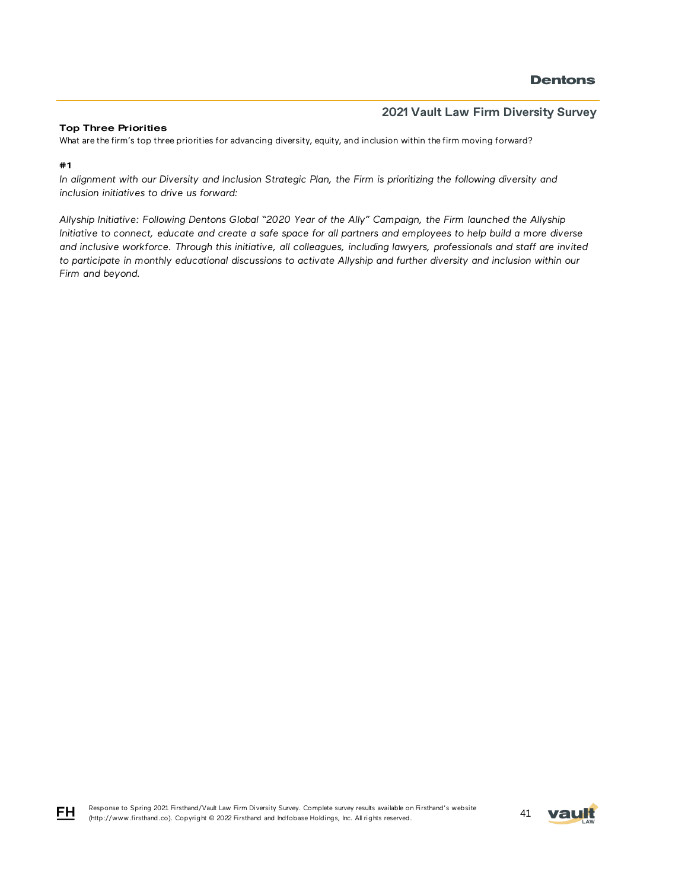#### Top Three Priorities

What are the firm's top three priorities for advancing diversity, equity, and inclusion within the firm moving forward?

#1

*In alignment with our Diversity and Inclusion Strategic Plan, the Firm is prioritizing the following diversity and inclusion initiatives to drive us forward:* 

*Allyship Initiative: Following Dentons Global "2020 Year of the Ally" Campaign, the Firm launched the Allyship Initiative to connect, educate and create a safe space for all partners and employees to help build a more diverse and inclusive workforce. Through this initiative, all colleagues, including lawyers, professionals and staff are invited*  to participate in monthly educational discussions to activate Allyship and further diversity and inclusion within our *Firm and beyond.*



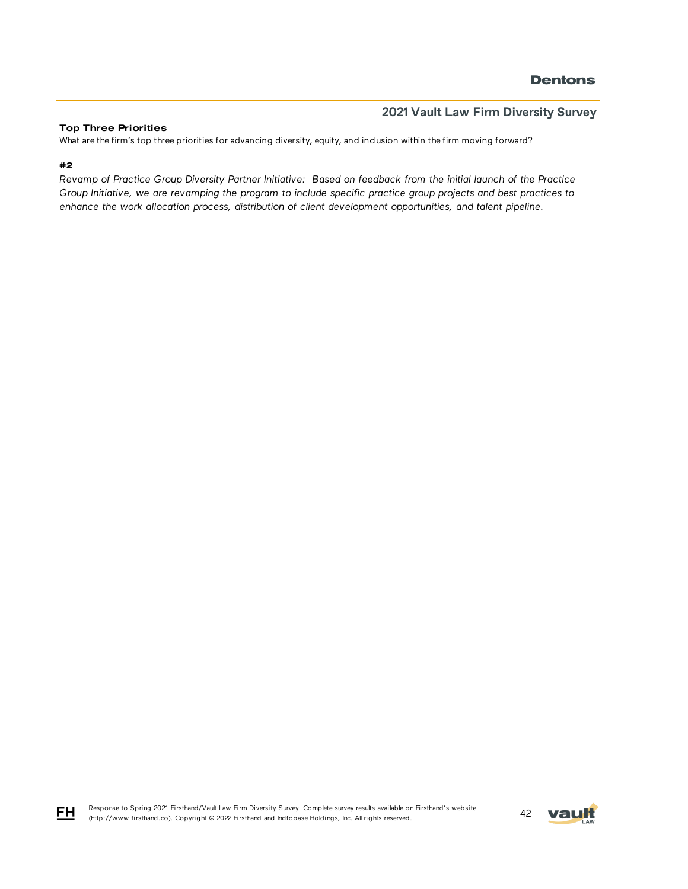### **2021 Vault Law Firm Diversity Survey**

#### Top Three Priorities

What are the firm's top three priorities for advancing diversity, equity, and inclusion within the firm moving forward?

### #2

*Revamp of Practice Group Diversity Partner Initiative: Based on feedback from the initial launch of the Practice Group Initiative, we are revamping the program to include specific practice group projects and best practices to enhance the work allocation process, distribution of client development opportunities, and talent pipeline.*



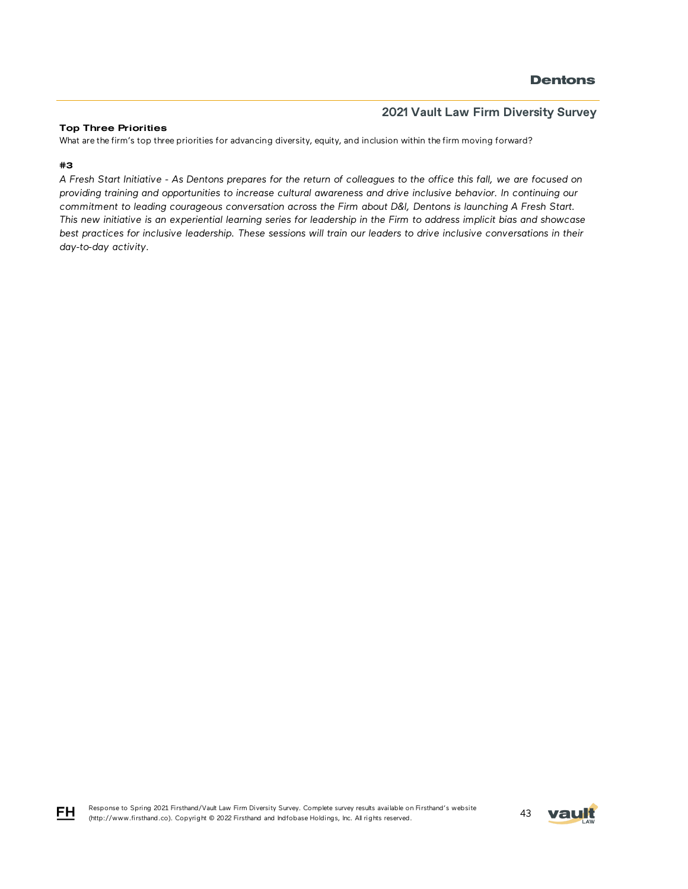#### Top Three Priorities

What are the firm's top three priorities for advancing diversity, equity, and inclusion within the firm moving forward?

#### #3

*A Fresh Start Initiative - As Dentons prepares for the return of colleagues to the office this fall, we are focused on providing training and opportunities to increase cultural awareness and drive inclusive behavior. In continuing our commitment to leading courageous conversation across the Firm about D&I, Dentons is launching A Fresh Start. This new initiative is an experiential learning series for leadership in the Firm to address implicit bias and showcase best practices for inclusive leadership. These sessions will train our leaders to drive inclusive conversations in their day-to-day activity.*